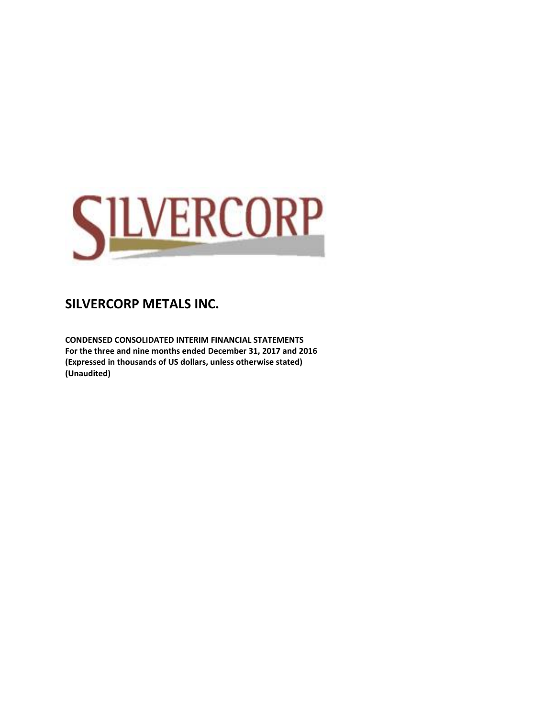

**CONDENSED CONSOLIDATED INTERIM FINANCIAL STATEMENTS For the three and nine months ended December 31, 2017 and 2016 (Expressed in thousands of US dollars, unless otherwise stated) (Unaudited)**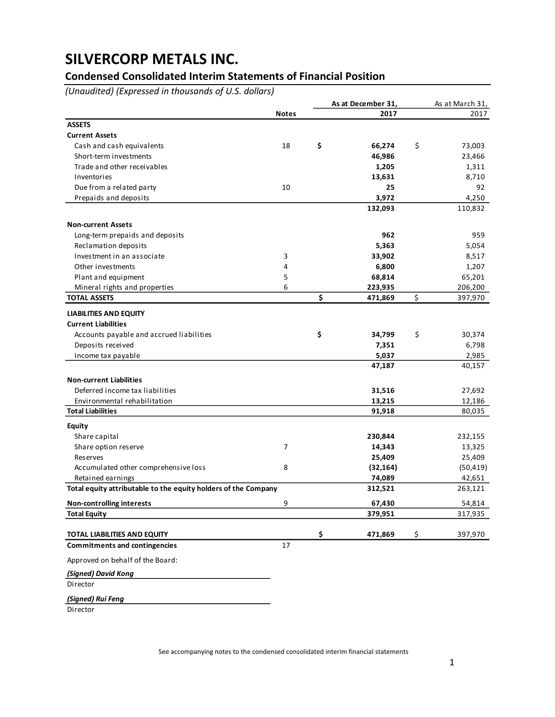## **Condensed Consolidated Interim Statements of Financial Position**

*(Unaudited) (Expressed in thousands of U.S. dollars)*

|                                                                |              | As at December 31, | As at March 31, |
|----------------------------------------------------------------|--------------|--------------------|-----------------|
|                                                                | <b>Notes</b> | 2017               | 2017            |
| <b>ASSETS</b>                                                  |              |                    |                 |
| <b>Current Assets</b>                                          |              |                    |                 |
| Cash and cash equivalents                                      | 18           | \$<br>66,274       | \$<br>73,003    |
| Short-term investments                                         |              | 46,986             | 23,466          |
| Trade and other receivables                                    |              | 1,205              | 1,311           |
| Inventories                                                    |              | 13,631             | 8,710           |
| Due from a related party                                       | 10           | 25                 | 92              |
| Prepaids and deposits                                          |              | 3,972              | 4,250           |
|                                                                |              | 132,093            | 110,832         |
| <b>Non-current Assets</b>                                      |              |                    |                 |
| Long-term prepaids and deposits                                |              | 962                | 959             |
| Reclamation deposits                                           |              | 5,363              | 5,054           |
| Investment in an associate                                     | 3            | 33,902             | 8,517           |
| Other investments                                              | 4            | 6,800              | 1,207           |
| Plant and equipment                                            | 5            | 68,814             | 65,201          |
| Mineral rights and properties                                  | 6            | 223,935            | 206,200         |
| <b>TOTAL ASSETS</b>                                            |              | \$<br>471,869      | \$<br>397,970   |
| <b>LIABILITIES AND EQUITY</b>                                  |              |                    |                 |
| <b>Current Liabilities</b>                                     |              |                    |                 |
| Accounts payable and accrued liabilities                       |              | \$<br>34,799       | \$<br>30,374    |
| Deposits received                                              |              | 7,351              | 6,798           |
| Income tax payable                                             |              | 5,037              | 2,985           |
|                                                                |              | 47,187             | 40,157          |
| <b>Non-current Liabilities</b>                                 |              |                    |                 |
| Deferred income tax liabilities                                |              | 31,516             | 27,692          |
| Environmental rehabilitation                                   |              | 13,215             | 12,186          |
| <b>Total Liabilities</b>                                       |              | 91,918             | 80,035          |
| <b>Equity</b>                                                  |              |                    |                 |
| Share capital                                                  |              | 230,844            | 232,155         |
| Share option reserve                                           | 7            | 14,343             | 13,325          |
| Reserves                                                       |              | 25,409             | 25,409          |
| Accumulated other comprehensive loss                           | 8            | (32, 164)          | (50, 419)       |
| Retained earnings                                              |              | 74,089             | 42,651          |
| Total equity attributable to the equity holders of the Company |              | 312,521            | 263,121         |
| <b>Non-controlling interests</b>                               | 9            | 67,430             | 54,814          |
| <b>Total Equity</b>                                            |              | 379,951            | 317,935         |
| TOTAL LIABILITIES AND EQUITY                                   |              | \$<br>471,869      | \$<br>397,970   |
| <b>Commitments and contingencies</b>                           | 17           |                    |                 |
| Approved on behalf of the Board:                               |              |                    |                 |
| (Signed) David Kong                                            |              |                    |                 |
| Director                                                       |              |                    |                 |
| (Signed) Rui Feng                                              |              |                    |                 |

Director

See accompanying notes to the condensed consolidated interim financial statements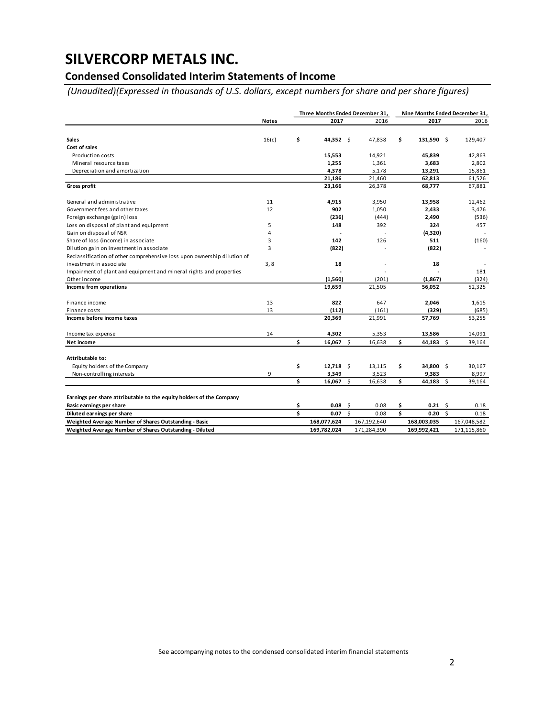## **Condensed Consolidated Interim Statements of Income**

*(Unaudited)(Expressed in thousands of U.S. dollars, except numbers for share and per share figures)*

|                                                                         |              | Three Months Ended December 31, |    |             |    |              | Nine Months Ended December 31, |             |  |
|-------------------------------------------------------------------------|--------------|---------------------------------|----|-------------|----|--------------|--------------------------------|-------------|--|
|                                                                         | <b>Notes</b> | 2017                            |    | 2016        |    | 2017         |                                | 2016        |  |
|                                                                         |              |                                 |    |             |    |              |                                |             |  |
| <b>Sales</b>                                                            | 16(c)        | \$<br>44,352 \$                 |    | 47,838      | \$ | $131,590$ \$ |                                | 129,407     |  |
| Cost of sales                                                           |              |                                 |    |             |    |              |                                |             |  |
| Production costs                                                        |              | 15,553                          |    | 14,921      |    | 45,839       |                                | 42,863      |  |
| Mineral resource taxes                                                  |              | 1,255                           |    | 1,361       |    | 3,683        |                                | 2,802       |  |
| Depreciation and amortization                                           |              | 4,378                           |    | 5,178       |    | 13,291       |                                | 15,861      |  |
|                                                                         |              | 21,186                          |    | 21,460      |    | 62,813       |                                | 61,526      |  |
| <b>Gross profit</b>                                                     |              | 23,166                          |    | 26,378      |    | 68,777       |                                | 67,881      |  |
| General and administrative                                              | 11           | 4,915                           |    | 3,950       |    | 13,958       |                                | 12,462      |  |
| Government fees and other taxes                                         | 12           | 902                             |    | 1,050       |    | 2,433        |                                | 3,476       |  |
| Foreign exchange (gain) loss                                            |              | (236)                           |    | (444)       |    | 2,490        |                                | (536)       |  |
| Loss on disposal of plant and equipment                                 | 5            | 148                             |    | 392         |    | 324          |                                | 457         |  |
| Gain on disposal of NSR                                                 | 4            |                                 |    |             |    | (4,320)      |                                |             |  |
| Share of loss (income) in associate                                     | 3            | 142                             |    | 126         |    | 511          |                                | (160)       |  |
| Dilution gain on investment in associate                                | 3            | (822)                           |    |             |    | (822)        |                                |             |  |
| Reclassification of other comprehensive loss upon ownership dilution of |              |                                 |    |             |    |              |                                |             |  |
| investment in associate                                                 | 3,8          | 18                              |    |             |    | 18           |                                |             |  |
| Impairment of plant and equipment and mineral rights and properties     |              |                                 |    |             |    |              |                                | 181         |  |
| Other income                                                            |              | (1, 560)                        |    | (201)       |    | (1,867)      |                                | (324)       |  |
| Income from operations                                                  |              | 19,659                          |    | 21,505      |    | 56,052       |                                | 52,325      |  |
| Finance income                                                          | 13           | 822                             |    | 647         |    | 2,046        |                                | 1,615       |  |
| Finance costs                                                           | 13           | (112)                           |    | (161)       |    | (329)        |                                | (685)       |  |
| Income before income taxes                                              |              | 20,369                          |    | 21,991      |    | 57,769       |                                | 53,255      |  |
| Income tax expense                                                      | 14           | 4,302                           |    | 5,353       |    | 13,586       |                                | 14,091      |  |
| Net income                                                              |              | \$<br>$16,067$ \$               |    | 16,638      | Ś. | 44,183 \$    |                                | 39,164      |  |
| Attributable to:                                                        |              |                                 |    |             |    |              |                                |             |  |
| Equity holders of the Company                                           |              | \$<br>$12,718$ \$               |    | 13,115      | \$ | 34,800 \$    |                                | 30,167      |  |
| Non-controlling interests                                               | 9            | 3,349                           |    | 3,523       |    | 9,383        |                                | 8,997       |  |
|                                                                         |              | \$<br>$16,067$ \$               |    | 16,638      | Ś. | 44,183 \$    |                                | 39,164      |  |
| Earnings per share attributable to the equity holders of the Company    |              |                                 |    |             |    |              |                                |             |  |
| <b>Basic earnings per share</b>                                         |              | \$<br>0.08                      | \$ | 0.08        | \$ | 0.21         | \$                             | 0.18        |  |
| Diluted earnings per share                                              |              | \$<br>0.07                      | Ś. | 0.08        | \$ | 0.20         | Ŝ.                             | 0.18        |  |
| Weighted Average Number of Shares Outstanding - Basic                   |              | 168,077,624                     |    | 167,192,640 |    | 168,003,035  |                                | 167,048,582 |  |
| Weighted Average Number of Shares Outstanding - Diluted                 |              | 169,782,024                     |    | 171,284,390 |    | 169,992,421  |                                | 171,115,860 |  |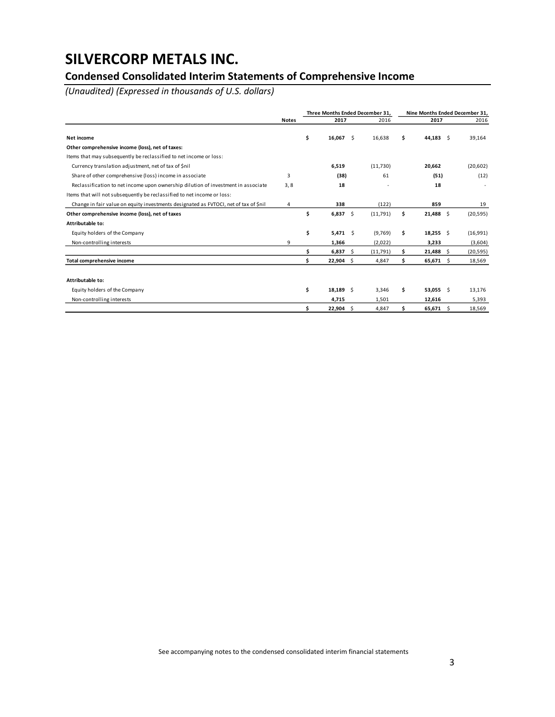## **Condensed Consolidated Interim Statements of Comprehensive Income**

*(Unaudited) (Expressed in thousands of U.S. dollars)*

|                                                                                      |              |    |             |      | Three Months Ended December 31. |    | Nine Months Ended December 31, |           |  |  |
|--------------------------------------------------------------------------------------|--------------|----|-------------|------|---------------------------------|----|--------------------------------|-----------|--|--|
|                                                                                      | <b>Notes</b> |    | 2017        |      | 2016                            |    | 2017                           | 2016      |  |  |
| Net income                                                                           |              | \$ | $16,067$ \$ |      | 16,638                          | \$ | 44,183 \$                      | 39,164    |  |  |
| Other comprehensive income (loss), net of taxes:                                     |              |    |             |      |                                 |    |                                |           |  |  |
| Items that may subsequently be reclassified to net income or loss:                   |              |    |             |      |                                 |    |                                |           |  |  |
| Currency translation adjustment, net of tax of \$nil                                 |              |    | 6,519       |      | (11,730)                        |    | 20,662                         | (20, 602) |  |  |
| Share of other comprehensive (loss) income in associate                              | 3            |    | (38)        |      | 61                              |    | (51)                           | (12)      |  |  |
| Reclassification to net income upon ownership dilution of investment in associate    | 3, 8         |    | 18          |      |                                 |    | 18                             |           |  |  |
| Items that will not subsequently be reclassified to net income or loss:              |              |    |             |      |                                 |    |                                |           |  |  |
| Change in fair value on equity investments designated as FVTOCI, net of tax of \$nil | 4            |    | 338         |      | (122)                           |    | 859                            | 19        |  |  |
| Other comprehensive income (loss), net of taxes                                      |              | \$ | $6,837$ \$  |      | (11,791)                        | \$ | $21,488$ \$                    | (20, 595) |  |  |
| Attributable to:                                                                     |              |    |             |      |                                 |    |                                |           |  |  |
| Equity holders of the Company                                                        |              | \$ | $5,471$ \$  |      | (9,769)                         | \$ | $18,255$ \$                    | (16,991)  |  |  |
| Non-controlling interests                                                            | 9            |    | 1,366       |      | (2,022)                         |    | 3,233                          | (3,604)   |  |  |
|                                                                                      |              | Ś  | 6,837       | - \$ | (11,791)                        | \$ | $21,488$ \$                    | (20, 595) |  |  |
| Total comprehensive income                                                           |              | Ś  | $22,904$ \$ |      | 4,847                           | \$ | $65,671$ \$                    | 18,569    |  |  |
|                                                                                      |              |    |             |      |                                 |    |                                |           |  |  |
| Attributable to:                                                                     |              |    |             |      |                                 |    |                                |           |  |  |
| Equity holders of the Company                                                        |              | \$ | $18,189$ \$ |      | 3,346                           | \$ | 53,055 \$                      | 13,176    |  |  |
| Non-controlling interests                                                            |              |    | 4,715       |      | 1,501                           |    | 12,616                         | 5,393     |  |  |
|                                                                                      |              | \$ | 22,904      | -Ś   | 4.847                           | \$ | 65,671 \$                      | 18,569    |  |  |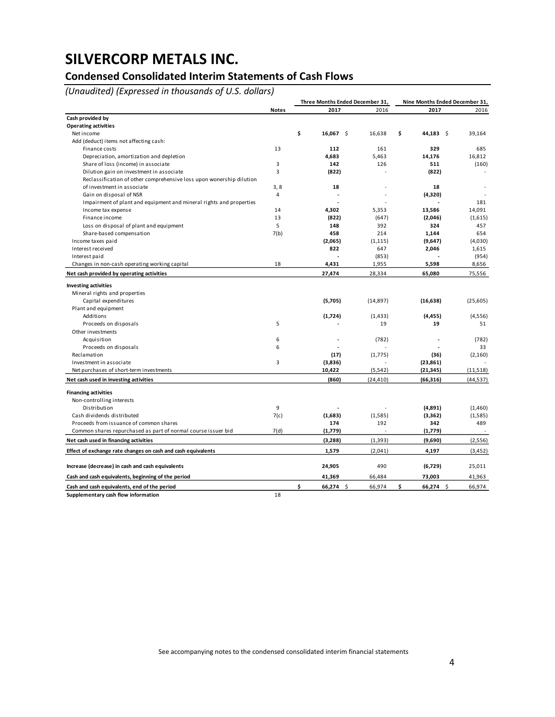## **Condensed Consolidated Interim Statements of Cash Flows**

*(Unaudited) (Expressed in thousands of U.S. dollars)*

|                                                                      |                | Three Months Ended December 31, |           | Nine Months Ended December 31, |           |  |  |  |
|----------------------------------------------------------------------|----------------|---------------------------------|-----------|--------------------------------|-----------|--|--|--|
|                                                                      | <b>Notes</b>   | 2017                            | 2016      | 2017                           | 2016      |  |  |  |
| Cash provided by                                                     |                |                                 |           |                                |           |  |  |  |
| <b>Operating activities</b>                                          |                |                                 |           |                                |           |  |  |  |
| Net income                                                           |                | \$<br>16,067<br>\$              | 16,638    | \$<br>44,183<br>- \$           | 39,164    |  |  |  |
| Add (deduct) items not affecting cash:                               |                |                                 |           |                                |           |  |  |  |
| Finance costs                                                        | 13             | 112                             | 161       | 329                            | 685       |  |  |  |
| Depreciation, amortization and depletion                             |                | 4,683                           | 5,463     | 14,176                         | 16,812    |  |  |  |
| Share of loss (income) in associate                                  | 3              | 142                             | 126       | 511                            | (160)     |  |  |  |
| Dilution gain on investment in associate                             | 3              | (822)                           |           | (822)                          |           |  |  |  |
| Reclassification of other comprehensive loss upon wonership dilution |                |                                 |           |                                |           |  |  |  |
| of investment in associate                                           | 3,8            | 18                              |           | 18                             |           |  |  |  |
| Gain on disposal of NSR                                              | $\overline{4}$ |                                 |           | (4,320)                        |           |  |  |  |
| Impairment of plant and equipment and mineral rights and properties  |                |                                 |           |                                | 181       |  |  |  |
| Income tax expense                                                   | 14             | 4,302                           | 5,353     | 13,586                         | 14,091    |  |  |  |
| Finance income                                                       | 13             | (822)                           | (647)     | (2,046)                        | (1,615)   |  |  |  |
| Loss on disposal of plant and equipment                              | 5              | 148                             | 392       | 324                            | 457       |  |  |  |
| Share-based compensation                                             | 7(b)           | 458                             | 214       | 1,144                          | 654       |  |  |  |
| Income taxes paid                                                    |                | (2,065)                         | (1, 115)  | (9,647)                        | (4,030)   |  |  |  |
| Interest received                                                    |                | 822                             | 647       | 2,046                          | 1,615     |  |  |  |
| Interest paid                                                        |                |                                 | (853)     |                                | (954)     |  |  |  |
| Changes in non-cash operating working capital                        | 18             | 4,431                           | 1,955     | 5,598                          | 8,656     |  |  |  |
| Net cash provided by operating activities                            |                | 27,474                          | 28,334    | 65,080                         | 75,556    |  |  |  |
| <b>Investing activities</b>                                          |                |                                 |           |                                |           |  |  |  |
| Mineral rights and properties                                        |                |                                 |           |                                |           |  |  |  |
| Capital expenditures                                                 |                | (5,705)                         | (14, 897) | (16, 638)                      | (25, 605) |  |  |  |
| Plant and equipment                                                  |                |                                 |           |                                |           |  |  |  |
| Additions                                                            |                | (1,724)                         | (1, 433)  | (4, 455)                       | (4, 556)  |  |  |  |
| Proceeds on disposals                                                | 5              |                                 | 19        | 19                             | 51        |  |  |  |
| Other investments                                                    |                |                                 |           |                                |           |  |  |  |
| Acquisition                                                          | 6              |                                 | (782)     |                                | (782)     |  |  |  |
| Proceeds on disposals                                                | 6              |                                 |           |                                | 33        |  |  |  |
| Reclamation                                                          |                | (17)                            | (1,775)   | (36)                           | (2, 160)  |  |  |  |
| Investment in associate                                              | 3              | (3,836)                         |           | (23, 861)                      |           |  |  |  |
| Net purchases of short-term investments                              |                | 10,422                          | (5, 542)  | (21, 345)                      | (11,518)  |  |  |  |
| Net cash used in investing activities                                |                | (860)                           | (24, 410) | (66, 316)                      | (44, 537) |  |  |  |
| <b>Financing activities</b>                                          |                |                                 |           |                                |           |  |  |  |
| Non-controlling interests                                            |                |                                 |           |                                |           |  |  |  |
| Distribution                                                         | 9              |                                 |           | (4,891)                        | (1,460)   |  |  |  |
| Cash dividends distributed                                           | 7(c)           | (1,683)                         | (1,585)   | (3,362)                        | (1,585)   |  |  |  |
| Proceeds from issuance of common shares                              |                | 174                             | 192       | 342                            | 489       |  |  |  |
| Common shares repurchased as part of normal course issuer bid        | 7(d)           | (1,779)                         |           | (1,779)                        |           |  |  |  |
| Net cash used in financing activities                                |                | (3,288)                         | (1, 393)  | (9,690)                        | (2, 556)  |  |  |  |
| Effect of exchange rate changes on cash and cash equivalents         |                | 1,579                           | (2,041)   | 4,197                          | (3, 452)  |  |  |  |
| Increase (decrease) in cash and cash equivalents                     |                | 24,905                          | 490       | (6, 729)                       | 25,011    |  |  |  |
| Cash and cash equivalents, beginning of the period                   |                | 41,369                          | 66,484    | 73,003                         | 41,963    |  |  |  |
| Cash and cash equivalents, end of the period                         |                | \$<br>$66,274$ \$               | 66,974    | \$<br>$66,274$ \$              | 66,974    |  |  |  |
| Supplementary cash flow information                                  | 18             |                                 |           |                                |           |  |  |  |

See accompanying notes to the condensed consolidated interim financial statements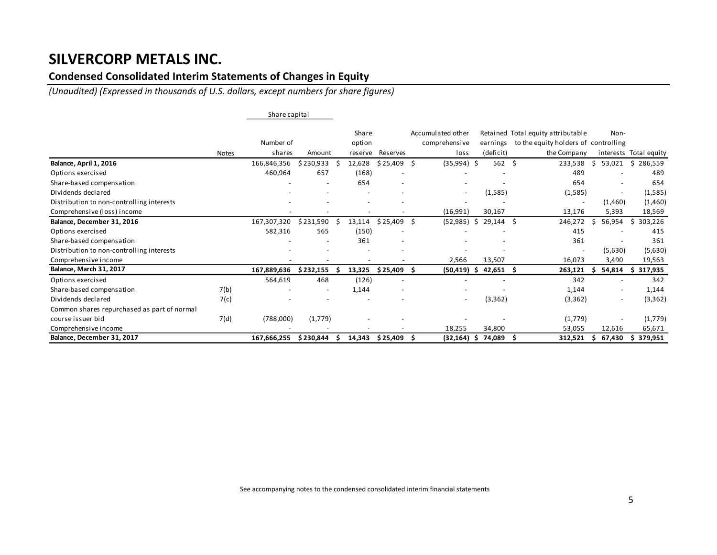### **Condensed Consolidated Interim Statements of Changes in Equity**

*(Unaudited) (Expressed in thousands of U.S. dollars, except numbers for share figures)*

|                                             |              | Share capital |           |         |                          |    |                          |     |             |   |                                      |    |         |                        |
|---------------------------------------------|--------------|---------------|-----------|---------|--------------------------|----|--------------------------|-----|-------------|---|--------------------------------------|----|---------|------------------------|
|                                             |              |               |           | Share   |                          |    | Accumulated other        |     |             |   | Retained Total equity attributable   |    | Non-    |                        |
|                                             |              | Number of     |           | option  |                          |    | comprehensive            |     | earnings    |   | to the equity holders of controlling |    |         |                        |
|                                             | <b>Notes</b> | shares        | Amount    | reserve | Reserves                 |    | loss                     |     | (deficit)   |   | the Company                          |    |         | interests Total equity |
| Balance, April 1, 2016                      |              | 166,846,356   | \$230,933 | 12,628  | \$25,409                 | -Ŝ | (35,994)                 | -Ś  | 562 \$      |   | 233,538                              | Ś. | 53,021  | \$286,559              |
| Options exercised                           |              | 460,964       | 657       | (168)   |                          |    |                          |     |             |   | 489                                  |    |         | 489                    |
| Share-based compensation                    |              |               |           | 654     |                          |    |                          |     |             |   | 654                                  |    |         | 654                    |
| Dividends declared                          |              |               |           |         |                          |    | $\overline{\phantom{a}}$ |     | (1,585)     |   | (1,585)                              |    |         | (1,585)                |
| Distribution to non-controlling interests   |              |               |           |         |                          |    |                          |     |             |   | $\overline{\phantom{a}}$             |    | (1,460) | (1,460)                |
| Comprehensive (loss) income                 |              |               |           |         |                          |    | (16,991)                 |     | 30,167      |   | 13,176                               |    | 5,393   | 18,569                 |
| Balance, December 31, 2016                  |              | 167,307,320   | \$231,590 | 13,114  | \$25,409                 | Ŝ. | (52, 985)                | -\$ | $29,144$ \$ |   | 246,272                              | -S | 56,954  | 303,226<br>Ŝ.          |
| Options exercised                           |              | 582,316       | 565       | (150)   | $\overline{\phantom{a}}$ |    |                          |     |             |   | 415                                  |    |         | 415                    |
| Share-based compensation                    |              |               |           | 361     |                          |    |                          |     |             |   | 361                                  |    |         | 361                    |
| Distribution to non-controlling interests   |              |               |           |         |                          |    |                          |     |             |   | $\overline{\phantom{a}}$             |    | (5,630) | (5,630)                |
| Comprehensive income                        |              |               |           |         |                          |    | 2,566                    |     | 13,507      |   | 16,073                               |    | 3,490   | 19,563                 |
| Balance, March 31, 2017                     |              | 167,889,636   | \$232,155 | 13,325  | \$25,409                 |    | (50,419)                 | -S  | $42,651$ \$ |   | 263,121                              | s  | 54,814  | 317,935<br>s           |
| Options exercised                           |              | 564,619       | 468       | (126)   |                          |    |                          |     |             |   | 342                                  |    |         | 342                    |
| Share-based compensation                    | 7(b)         |               |           | 1,144   |                          |    |                          |     |             |   | 1,144                                |    |         | 1,144                  |
| Dividends declared                          | 7(c)         |               |           |         |                          |    | $\overline{\phantom{a}}$ |     | (3, 362)    |   | (3, 362)                             |    |         | (3, 362)               |
| Common shares repurchased as part of normal |              |               |           |         |                          |    |                          |     |             |   |                                      |    |         |                        |
| course issuer bid                           | 7(d)         | (788,000)     | (1,779)   |         |                          |    |                          |     |             |   | (1,779)                              |    |         | (1,779)                |
| Comprehensive income                        |              |               |           |         |                          |    | 18,255                   |     | 34,800      |   | 53,055                               |    | 12,616  | 65,671                 |
| Balance, December 31, 2017                  |              | 167,666,255   | \$230,844 | 14,343  | \$25,409                 |    | (32, 164)                | -S  | 74,089      | S | 312,521                              | э  | 67,430  | 379,951                |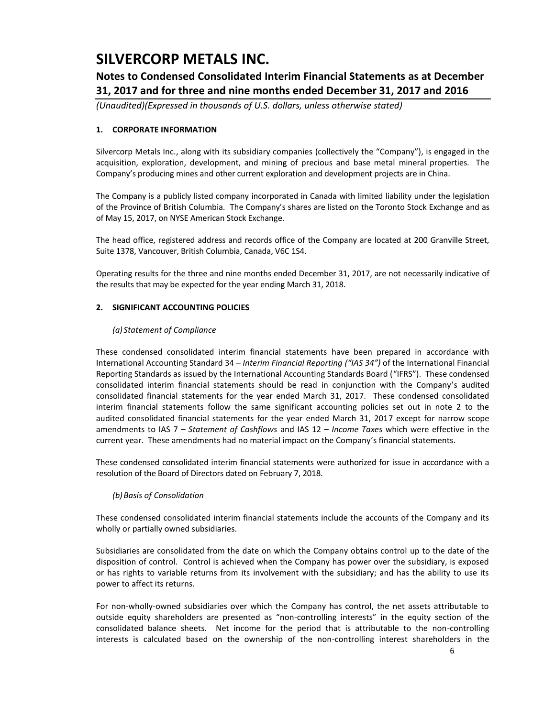## **Notes to Condensed Consolidated Interim Financial Statements as at December 31, 2017 and for three and nine months ended December 31, 2017 and 2016**

*(Unaudited)(Expressed in thousands of U.S. dollars, unless otherwise stated)*

### **1. CORPORATE INFORMATION**

Silvercorp Metals Inc., along with its subsidiary companies (collectively the "Company"), is engaged in the acquisition, exploration, development, and mining of precious and base metal mineral properties. The Company's producing mines and other current exploration and development projects are in China.

The Company is a publicly listed company incorporated in Canada with limited liability under the legislation of the Province of British Columbia. The Company's shares are listed on the Toronto Stock Exchange and as of May 15, 2017, on NYSE American Stock Exchange.

The head office, registered address and records office of the Company are located at 200 Granville Street, Suite 1378, Vancouver, British Columbia, Canada, V6C 1S4.

Operating results for the three and nine months ended December 31, 2017, are not necessarily indicative of the results that may be expected for the year ending March 31, 2018.

### **2. SIGNIFICANT ACCOUNTING POLICIES**

### *(a) Statement of Compliance*

These condensed consolidated interim financial statements have been prepared in accordance with International Accounting Standard 34 – *Interim Financial Reporting ("IAS 34")* of the International Financial Reporting Standards as issued by the International Accounting Standards Board ("IFRS"). These condensed consolidated interim financial statements should be read in conjunction with the Company's audited consolidated financial statements for the year ended March 31, 2017. These condensed consolidated interim financial statements follow the same significant accounting policies set out in note 2 to the audited consolidated financial statements for the year ended March 31, 2017 except for narrow scope amendments to IAS 7 – *Statement of Cashflows* and IAS 12 – *Income Taxes* which were effective in the current year. These amendments had no material impact on the Company's financial statements.

These condensed consolidated interim financial statements were authorized for issue in accordance with a resolution of the Board of Directors dated on February 7, 2018.

### *(b)Basis of Consolidation*

These condensed consolidated interim financial statements include the accounts of the Company and its wholly or partially owned subsidiaries.

Subsidiaries are consolidated from the date on which the Company obtains control up to the date of the disposition of control. Control is achieved when the Company has power over the subsidiary, is exposed or has rights to variable returns from its involvement with the subsidiary; and has the ability to use its power to affect its returns.

For non-wholly-owned subsidiaries over which the Company has control, the net assets attributable to outside equity shareholders are presented as "non-controlling interests" in the equity section of the consolidated balance sheets. Net income for the period that is attributable to the non-controlling interests is calculated based on the ownership of the non-controlling interest shareholders in the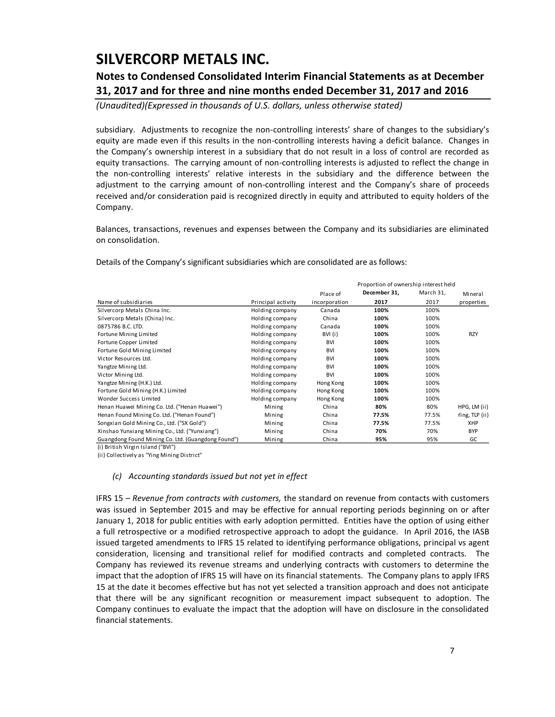## **Notes to Condensed Consolidated Interim Financial Statements as at December 31, 2017 and for three and nine months ended December 31, 2017 and 2016**

*(Unaudited)(Expressed in thousands of U.S. dollars, unless otherwise stated)*

subsidiary. Adjustments to recognize the non-controlling interests' share of changes to the subsidiary's equity are made even if this results in the non-controlling interests having a deficit balance. Changes in the Company's ownership interest in a subsidiary that do not result in a loss of control are recorded as equity transactions. The carrying amount of non-controlling interests is adjusted to reflect the change in the non-controlling interests' relative interests in the subsidiary and the difference between the adjustment to the carrying amount of non-controlling interest and the Company's share of proceeds received and/or consideration paid is recognized directly in equity and attributed to equity holders of the Company.

Balances, transactions, revenues and expenses between the Company and its subsidiaries are eliminated on consolidation.

|                                                    |                    |               | Proportion of ownership interest held |           |                |  |  |  |  |  |
|----------------------------------------------------|--------------------|---------------|---------------------------------------|-----------|----------------|--|--|--|--|--|
|                                                    |                    | Place of      | December 31,                          | March 31, | Mineral        |  |  |  |  |  |
| Name of subsidiaries                               | Principal activity | incorporation | 2017                                  | 2017      | properties     |  |  |  |  |  |
| Silvercorp Metals China Inc.                       | Holding company    | Canada        | 100%                                  | 100%      |                |  |  |  |  |  |
| Silvercorp Metals (China) Inc.                     | Holding company    | China         | 100%                                  | 100%      |                |  |  |  |  |  |
| 0875786 B.C. LTD.                                  | Holding company    | Canada        | 100%                                  | 100%      |                |  |  |  |  |  |
| Fortune Mining Limited                             | Holding company    | BVI (i)       | 100%                                  | 100%      | <b>RZY</b>     |  |  |  |  |  |
| Fortune Copper Limited                             | Holding company    | <b>BVI</b>    | 100%                                  | 100%      |                |  |  |  |  |  |
| Fortune Gold Mining Limited                        | Holding company    | BVI           | 100%                                  | 100%      |                |  |  |  |  |  |
| Victor Resources Ltd.                              | Holding company    | BVI           | 100%                                  | 100%      |                |  |  |  |  |  |
| Yangtze Mining Ltd.                                | Holding company    | <b>BVI</b>    | 100%                                  | 100%      |                |  |  |  |  |  |
| Victor Mining Ltd.                                 | Holding company    | <b>BVI</b>    | 100%                                  | 100%      |                |  |  |  |  |  |
| Yangtze Mining (H.K.) Ltd.                         | Holding company    | Hong Kong     | 100%                                  | 100%      |                |  |  |  |  |  |
| Fortune Gold Mining (H.K.) Limited                 | Holding company    | Hong Kong     | 100%                                  | 100%      |                |  |  |  |  |  |
| Wonder Success Limited                             | Holding company    | Hong Kong     | 100%                                  | 100%      |                |  |  |  |  |  |
| Henan Huawei Mining Co. Ltd. ("Henan Huawei")      | Mining             | China         | 80%                                   | 80%       | HPG, LM (ii)   |  |  |  |  |  |
| Henan Found Mining Co. Ltd. ("Henan Found")        | Mining             | China         | 77.5%                                 | 77.5%     | Ying, TLP (ii) |  |  |  |  |  |
| Songxian Gold Mining Co., Ltd. ("SX Gold")         | Mining             | China         | 77.5%                                 | 77.5%     | XHP            |  |  |  |  |  |
| Xinshao Yunxiang Mining Co., Ltd. ("Yunxiang")     | Mining             | China         | 70%                                   | 70%       | <b>BYP</b>     |  |  |  |  |  |
| Guangdong Found Mining Co. Ltd. (Guangdong Found") | Mining             | China         | 95%                                   | 95%       | GC             |  |  |  |  |  |

Details of the Company's significant subsidiaries which are consolidated are as follows:

(i) British Virgin Island ("BVI")

(ii) Collectively as "Ying Mining District"

#### *(c) Accounting standards issued but not yet in effect*

IFRS 15 – *Revenue from contracts with customers,* the standard on revenue from contacts with customers was issued in September 2015 and may be effective for annual reporting periods beginning on or after January 1, 2018 for public entities with early adoption permitted. Entities have the option of using either a full retrospective or a modified retrospective approach to adopt the guidance. In April 2016, the IASB issued targeted amendments to IFRS 15 related to identifying performance obligations, principal vs agent consideration, licensing and transitional relief for modified contracts and completed contracts. The Company has reviewed its revenue streams and underlying contracts with customers to determine the impact that the adoption of IFRS 15 will have on its financial statements. The Company plans to apply IFRS 15 at the date it becomes effective but has not yet selected a transition approach and does not anticipate that there will be any significant recognition or measurement impact subsequent to adoption. The Company continues to evaluate the impact that the adoption will have on disclosure in the consolidated financial statements.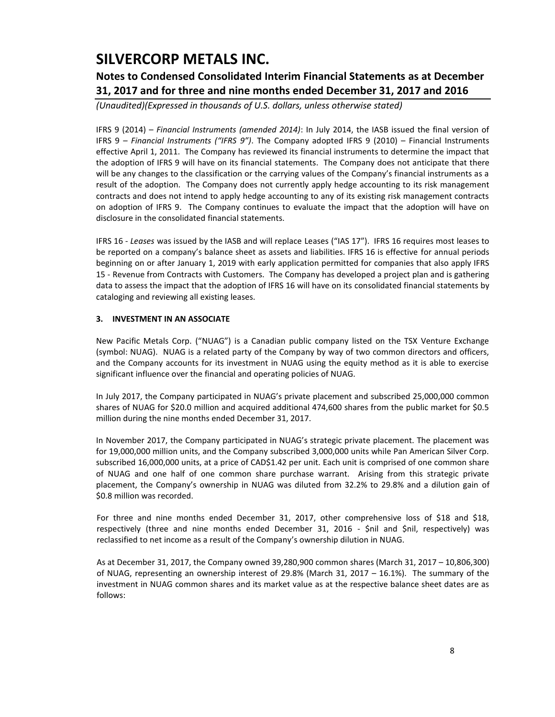## **Notes to Condensed Consolidated Interim Financial Statements as at December 31, 2017 and for three and nine months ended December 31, 2017 and 2016**

*(Unaudited)(Expressed in thousands of U.S. dollars, unless otherwise stated)*

IFRS 9 (2014) – *Financial Instruments (amended 2014)*: In July 2014, the IASB issued the final version of IFRS 9 – *Financial Instruments ("IFRS 9")*. The Company adopted IFRS 9 (2010) – Financial Instruments effective April 1, 2011. The Company has reviewed its financial instruments to determine the impact that the adoption of IFRS 9 will have on its financial statements. The Company does not anticipate that there will be any changes to the classification or the carrying values of the Company's financial instruments as a result of the adoption. The Company does not currently apply hedge accounting to its risk management contracts and does not intend to apply hedge accounting to any of its existing risk management contracts on adoption of IFRS 9. The Company continues to evaluate the impact that the adoption will have on disclosure in the consolidated financial statements.

IFRS 16 - *Leases* was issued by the IASB and will replace Leases ("IAS 17"). IFRS 16 requires most leases to be reported on a company's balance sheet as assets and liabilities. IFRS 16 is effective for annual periods beginning on or after January 1, 2019 with early application permitted for companies that also apply IFRS 15 - Revenue from Contracts with Customers. The Company has developed a project plan and is gathering data to assess the impact that the adoption of IFRS 16 will have on its consolidated financial statements by cataloging and reviewing all existing leases.

### **3. INVESTMENT IN AN ASSOCIATE**

New Pacific Metals Corp. ("NUAG") is a Canadian public company listed on the TSX Venture Exchange (symbol: NUAG). NUAG is a related party of the Company by way of two common directors and officers, and the Company accounts for its investment in NUAG using the equity method as it is able to exercise significant influence over the financial and operating policies of NUAG.

In July 2017, the Company participated in NUAG's private placement and subscribed 25,000,000 common shares of NUAG for \$20.0 million and acquired additional 474,600 shares from the public market for \$0.5 million during the nine months ended December 31, 2017.

In November 2017, the Company participated in NUAG's strategic private placement. The placement was for 19,000,000 million units, and the Company subscribed 3,000,000 units while Pan American Silver Corp. subscribed 16,000,000 units, at a price of CAD\$1.42 per unit. Each unit is comprised of one common share of NUAG and one half of one common share purchase warrant. Arising from this strategic private placement, the Company's ownership in NUAG was diluted from 32.2% to 29.8% and a dilution gain of \$0.8 million was recorded.

For three and nine months ended December 31, 2017, other comprehensive loss of \$18 and \$18, respectively (three and nine months ended December 31, 2016 - \$nil and \$nil, respectively) was reclassified to net income as a result of the Company's ownership dilution in NUAG.

As at December 31, 2017, the Company owned 39,280,900 common shares (March 31, 2017 – 10,806,300) of NUAG, representing an ownership interest of 29.8% (March 31, 2017 – 16.1%). The summary of the investment in NUAG common shares and its market value as at the respective balance sheet dates are as follows: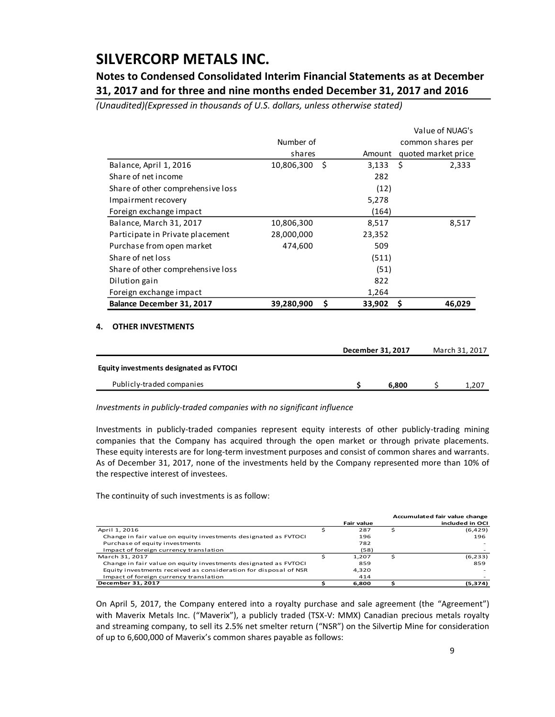## **Notes to Condensed Consolidated Interim Financial Statements as at December 31, 2017 and for three and nine months ended December 31, 2017 and 2016**

*(Unaudited)(Expressed in thousands of U.S. dollars, unless otherwise stated)*

|                                   |            |    | Value of NUAG's |                     |
|-----------------------------------|------------|----|-----------------|---------------------|
|                                   | Number of  |    |                 | common shares per   |
|                                   | shares     |    | Amount          | quoted market price |
| Balance, April 1, 2016            | 10,806,300 | Ŝ. | 3,133           | Ŝ.<br>2,333         |
| Share of net income               |            |    | 282             |                     |
| Share of other comprehensive loss |            |    | (12)            |                     |
| Impairment recovery               |            |    | 5,278           |                     |
| Foreign exchange impact           |            |    | (164)           |                     |
| Balance, March 31, 2017           | 10,806,300 |    | 8,517           | 8,517               |
| Participate in Private placement  | 28,000,000 |    | 23,352          |                     |
| Purchase from open market         | 474,600    |    | 509             |                     |
| Share of net loss                 |            |    | (511)           |                     |
| Share of other comprehensive loss |            |    | (51)            |                     |
| Dilution gain                     |            |    | 822             |                     |
| Foreign exchange impact           |            |    | 1,264           |                     |
| Balance December 31, 2017         | 39,280,900 | \$ | 33,902          | 46,029              |
|                                   |            |    |                 |                     |

#### **4. OTHER INVESTMENTS**

|                                         | December 31, 2017 | March 31, 2017 |              |
|-----------------------------------------|-------------------|----------------|--------------|
| Equity investments designated as FVTOCI |                   |                |              |
| Publicly-traded companies               |                   | 6.800          | <b>1,207</b> |

*Investments in publicly-traded companies with no significant influence*

Investments in publicly-traded companies represent equity interests of other publicly-trading mining companies that the Company has acquired through the open market or through private placements. These equity interests are for long-term investment purposes and consist of common shares and warrants. As of December 31, 2017, none of the investments held by the Company represented more than 10% of the respective interest of investees.

The continuity of such investments is as follow:

|                                                                  |                   |   | Accumulated fair value change |
|------------------------------------------------------------------|-------------------|---|-------------------------------|
|                                                                  | <b>Fair value</b> |   | included in OCI               |
| April 1, 2016                                                    | 287               | Ś | (6,429)                       |
| Change in fair value on equity investments designated as FVTOCI  | 196               |   | 196                           |
| Purchase of equity investments                                   | 782               |   |                               |
| Impact of foreign currency translation                           | (58)              |   |                               |
| March 31, 2017                                                   | 1.207             |   | (6, 233)                      |
| Change in fair value on equity investments designated as FVTOCI  | 859               |   | 859                           |
| Equity investments received as consideration for disposal of NSR | 4.320             |   |                               |
| Impact of foreign currency translation                           | 414               |   |                               |
| December 31, 2017                                                | 6.800             |   | (5,374)                       |

On April 5, 2017, the Company entered into a royalty purchase and sale agreement (the "Agreement") with Maverix Metals Inc. ("Maverix"), a publicly traded (TSX-V: MMX) Canadian precious metals royalty and streaming company, to sell its 2.5% net smelter return ("NSR") on the Silvertip Mine for consideration of up to 6,600,000 of Maverix's common shares payable as follows: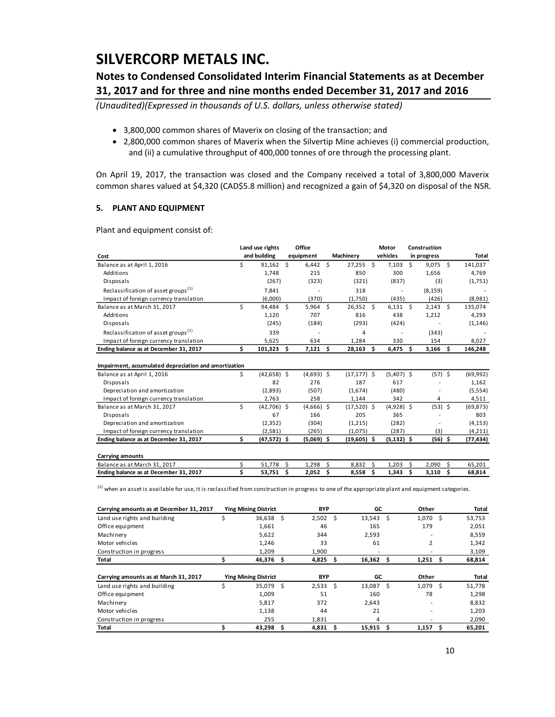## **Notes to Condensed Consolidated Interim Financial Statements as at December 31, 2017 and for three and nine months ended December 31, 2017 and 2016**

*(Unaudited)(Expressed in thousands of U.S. dollars, unless otherwise stated)*

- 3,800,000 common shares of Maverix on closing of the transaction; and
- 2,800,000 common shares of Maverix when the Silvertip Mine achieves (i) commercial production, and (ii) a cumulative throughput of 400,000 tonnes of ore through the processing plant.

On April 19, 2017, the transaction was closed and the Company received a total of 3,800,000 Maverix common shares valued at \$4,320 (CAD\$5.8 million) and recognized a gain of \$4,320 on disposal of the NSR.

#### **5. PLANT AND EQUIPMENT**

Plant and equipment consist of:

|                                                                                                                                                               |    | Land use rights             |                    | Office              |            |                      |                     | Motor               |    | Construction |    |                  |
|---------------------------------------------------------------------------------------------------------------------------------------------------------------|----|-----------------------------|--------------------|---------------------|------------|----------------------|---------------------|---------------------|----|--------------|----|------------------|
| Cost                                                                                                                                                          |    | and building                |                    | equipment           |            | Machinery            |                     | vehicles            |    | in progress  |    | Total            |
| Balance as at April 1, 2016                                                                                                                                   | Ś  | 91,162                      | $\dot{\mathsf{s}}$ | $6,442$ \$          |            | 27,255               | $\ddot{\mathsf{s}}$ | 7,103               | Ś. | $9,075$ \$   |    | 141,037          |
| Additions                                                                                                                                                     |    | 1,748                       |                    | 215                 |            | 850                  |                     | 300                 |    | 1,656        |    | 4,769            |
| Disposals                                                                                                                                                     |    | (267)                       |                    | (323)               |            | (321)                |                     | (837)               |    | (3)          |    | (1,751)          |
| Reclassification of asset groups <sup>(1)</sup>                                                                                                               |    | 7,841                       |                    |                     |            | 318                  |                     |                     |    | (8, 159)     |    |                  |
| Impact of foreign currency translation                                                                                                                        |    | (6,000)                     |                    | (370)               |            | (1,750)              |                     | (435)               |    | (426)        |    | (8,981)          |
| Balance as at March 31, 2017                                                                                                                                  | \$ | 94,484 \$                   |                    | $5,964$ \$          |            | $26,352$ \$          |                     | $6,131$ \$          |    | $2,143$ \$   |    | 135,074          |
| Additions                                                                                                                                                     |    | 1,120                       |                    | 707                 |            | 816                  |                     | 438                 |    | 1,212        |    | 4,293            |
| Disposals                                                                                                                                                     |    | (245)                       |                    | (184)               |            | (293)                |                     | (424)               |    |              |    | (1, 146)         |
| Reclassification of asset groups <sup>(1)</sup>                                                                                                               |    | 339                         |                    |                     |            | 4                    |                     |                     |    | (343)        |    |                  |
| Impact of foreign currency translation                                                                                                                        |    | 5,625                       |                    | 634                 |            | 1,284                |                     | 330                 |    | 154          |    | 8,027            |
| Ending balance as at December 31, 2017                                                                                                                        | \$ | $101,323$ \$                |                    | $7,121$ \$          |            | 28,163               | \$                  | $6,475$ \$          |    | $3,166$ \$   |    | 146,248          |
|                                                                                                                                                               |    |                             |                    |                     |            |                      |                     |                     |    |              |    |                  |
| Impairment, accumulated depreciation and amortization                                                                                                         |    |                             |                    |                     |            |                      |                     |                     |    |              |    |                  |
| Balance as at April 1, 2016                                                                                                                                   | \$ | $(42,658)$ \$               |                    | $(4,693)$ \$        |            | $(17, 177)$ \$       |                     | $(5,407)$ \$        |    | $(57)$ \$    |    | (69, 992)        |
| Disposals                                                                                                                                                     |    | 82                          |                    | 276                 |            | 187                  |                     | 617                 |    |              |    | 1,162            |
| Depreciation and amortization                                                                                                                                 |    | (2,893)                     |                    | (507)               |            | (1,674)              |                     | (480)               |    |              |    | (5, 554)         |
| Impact of foreign currency translation                                                                                                                        | \$ | 2,763                       |                    | 258                 |            | 1,144                |                     | 342                 |    | 4            |    | 4,511            |
| Balance as at March 31, 2017                                                                                                                                  |    | $(42,706)$ \$<br>67         |                    | $(4,666)$ \$<br>166 |            | $(17,520)$ \$<br>205 |                     | $(4,928)$ \$<br>365 |    | $(53)$ \$    |    | (69, 873)<br>803 |
| Disposals<br>Depreciation and amortization                                                                                                                    |    | (2, 352)                    |                    | (304)               |            | (1,215)              |                     | (282)               |    |              |    | (4, 153)         |
| Impact of foreign currency translation                                                                                                                        |    |                             |                    | (265)               |            | (1,075)              |                     | (287)               |    | (3)          |    | (4, 211)         |
| Ending balance as at December 31, 2017                                                                                                                        | \$ | (2,581)<br>$(47,572)$ \$    |                    | $(5,069)$ \$        |            | $(19,605)$ \$        |                     | $(5, 132)$ \$       |    | $(56)$ \$    |    | (77, 434)        |
|                                                                                                                                                               |    |                             |                    |                     |            |                      |                     |                     |    |              |    |                  |
| <b>Carrying amounts</b>                                                                                                                                       |    |                             |                    |                     |            |                      |                     |                     |    |              |    |                  |
| Balance as at March 31, 2017                                                                                                                                  | \$ | 51,778                      | \$                 | 1,298               | \$         | 8,832                | Ś.                  | 1,203               | Ś. | 2,090        | Ŝ. | 65,201           |
| Ending balance as at December 31, 2017                                                                                                                        | \$ | 53,751                      | \$                 | 2,052               | \$         | 8,558                | \$                  | 1,343               | \$ | 3,110        | \$ | 68,814           |
| <sup>(1)</sup> when an asset is available for use, it is reclassified from construction in progress to one of the appropriate plant and equipment categories. |    |                             |                    |                     |            |                      |                     |                     |    |              |    |                  |
| Carrying amounts as at December 31, 2017                                                                                                                      |    | <b>Ying Mining District</b> |                    |                     | <b>BYP</b> |                      |                     | GC                  |    | Other        |    | Total            |
| Land use rights and building                                                                                                                                  | \$ | 36,638 \$                   |                    | 2,502               |            | 5                    |                     | $13,543$ \$         |    | 1,070 \$     |    | 53,753           |
| Office equipment                                                                                                                                              |    | 1,661                       |                    | 46                  |            |                      | 165                 |                     |    | 179          |    | 2,051            |
| Machinery                                                                                                                                                     |    | 5,622                       |                    | 344                 |            |                      | 2,593               |                     |    |              |    | 8,559            |
| Motor vehicles                                                                                                                                                |    | 1,246                       |                    | 33                  |            |                      | 61                  |                     |    | 2            |    | 1,342            |
| Construction in progress                                                                                                                                      |    | 1,209                       |                    | 1,900               |            |                      |                     |                     |    |              |    | 3,109            |
|                                                                                                                                                               |    |                             |                    |                     |            |                      |                     |                     |    |              |    |                  |

| <b>Total</b>                          | 46,376                      | 4,825      | 16,362 | 1.251 | 68,814 |
|---------------------------------------|-----------------------------|------------|--------|-------|--------|
| Carrying amounts as at March 31, 2017 | <b>Ying Mining District</b> | <b>BYP</b> | GC     | Other | Total  |
| Land use rights and building          | 35,079                      | 2,533      | 13,087 | 1.079 | 51,778 |
|                                       |                             |            |        |       |        |
| Office equipment                      | 1,009                       | 51         | 160    | 78    | 1,298  |
| Machinery                             | 5,817                       | 372        | 2,643  |       | 8,832  |
| Motor vehicles                        | 1,138                       | 44         | 21     |       | 1,203  |
| Construction in progress              | 255                         | 1.831      | 4      |       | 2,090  |
| Total                                 | 43,298                      | 4,831      | 15,915 | 1.157 | 65,201 |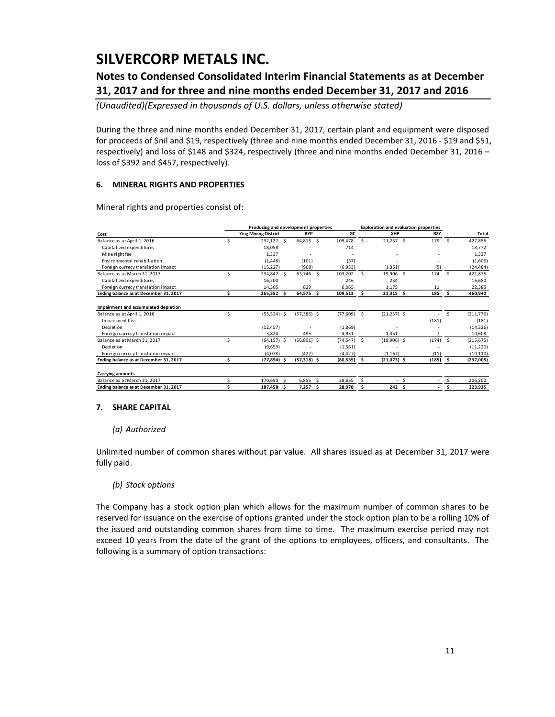## **Notes to Condensed Consolidated Interim Financial Statements as at December 31, 2017 and for three and nine months ended December 31, 2017 and 2016**

*(Unaudited)(Expressed in thousands of U.S. dollars, unless otherwise stated)*

During the three and nine months ended December 31, 2017, certain plant and equipment were disposed for proceeds of \$nil and \$19, respectively (three and nine months ended December 31, 2016 - \$19 and \$51, respectively) and loss of \$148 and \$324, respectively (three and nine months ended December 31, 2016 – loss of \$392 and \$457, respectively).

### **6. MINERAL RIGHTS AND PROPERTIES**

Mineral rights and properties consist of:

|                                        |   | Producing and development properties |    |               |   |                |    | <b>Exploration and evaluation properties</b> |    |            |               |            |
|----------------------------------------|---|--------------------------------------|----|---------------|---|----------------|----|----------------------------------------------|----|------------|---------------|------------|
| Cost                                   |   | <b>Ying Mining District</b>          |    | <b>BYP</b>    |   | GC.            |    | XHP                                          |    | <b>RZY</b> |               | Total      |
| Balance as at April 1, 2016            |   | 232,127 \$                           |    | 64,815 \$     |   | 109,478        | Ŝ. | 21,257                                       | .S | 179        | <sup>\$</sup> | 427,856    |
| Capitalized expenditures               |   | 18,058                               |    |               |   | 714            |    |                                              |    |            |               | 18,772     |
| Mine right fee                         |   | 1,337                                |    |               |   |                |    |                                              |    |            |               | 1,337      |
| Environmental rehabiliation            |   | (1, 448)                             |    | (101)         |   | (57)           |    |                                              |    |            |               | (1,606)    |
| Foreign currecy translation impact     |   | (15, 227)                            |    | (968)         |   | (6,933)        |    | (1, 351)                                     |    | (5)        |               | (24, 484)  |
| Balance as at March 31, 2017           | Ś | 234,847 \$                           |    | 63,746 \$     |   | 103,202        | Ŝ  | 19,906 \$                                    |    | 174        | -Ś            | 421,875    |
| Capitalized expenditures               |   | 16,200                               |    |               |   | 246            |    | 234                                          |    |            |               | 16,680     |
| Foreign currecy translation impact     |   | 14,305                               |    | 829           |   | 6,065          |    | 1,175                                        |    | 11         |               | 22,385     |
| Ending balance as at December 31, 2017 | Ś | 265,352 \$                           |    | 64,575        | Ŝ | 109,513        | -S | $21,315$ \$                                  |    | 185        | - Ś           | 460,940    |
| Impairment and accumulated depletion   |   |                                      |    |               |   |                |    |                                              |    |            |               |            |
| Balance as at April 1, 2016            |   | $(55,524)$ \$                        |    | $(57,386)$ \$ |   | (77,609)       | Ŝ. | $(21, 257)$ \$                               |    |            | Ś.            | (211, 776) |
| Impairment loss                        |   |                                      |    |               |   |                |    |                                              |    | (181)      |               | (181)      |
| Depletion                              |   | (12, 457)                            |    |               |   | (1,869)        |    |                                              |    |            |               | (14, 326)  |
| Foreign currecy translation impact     |   | 3,824                                |    | 495           |   | 4,931          |    | 1,351                                        |    |            |               | 10,608     |
| Balance as at March 31, 2017           | ς | $(64, 157)$ \$                       |    | $(56,891)$ \$ |   | $(74, 547)$ \$ |    | $(19,906)$ \$                                |    | $(174)$ \$ |               | (215, 675) |
| Depletion                              |   | (9,659)                              |    |               |   | (1, 561)       |    |                                              |    |            |               | (11,220)   |
| Foreign currecy translation impact     |   | (4,078)                              |    | (427)         |   | (4, 427)       |    | (1, 167)                                     |    | (11)       |               | (10, 110)  |
| Ending balance as at December 31, 2017 | Ś | $(77,894)$ \$                        |    | $(57,318)$ \$ |   | $(80,535)$ \$  |    | $(21,073)$ \$                                |    | $(185)$ \$ |               | (237,005)  |
|                                        |   |                                      |    |               |   |                |    |                                              |    |            |               |            |
| <b>Carrying amounts</b>                |   |                                      |    |               |   |                |    |                                              |    |            |               |            |
| Balance as at March 31, 2017           |   | 170.690                              | .S | 6.855         | Ŝ | 28,655         | Ŝ. |                                              | Ś  |            |               | 206,200    |
| Ending balance as at December 31, 2017 |   | 187,458                              | S  | 7.257         | Ś | 28.978         |    | 242                                          | Ŝ  |            |               | 223,935    |

#### **7. SHARE CAPITAL**

#### *(a) Authorized*

Unlimited number of common shares without par value. All shares issued as at December 31, 2017 were fully paid.

### *(b) Stock options*

The Company has a stock option plan which allows for the maximum number of common shares to be reserved for issuance on the exercise of options granted under the stock option plan to be a rolling 10% of the issued and outstanding common shares from time to time. The maximum exercise period may not exceed 10 years from the date of the grant of the options to employees, officers, and consultants. The following is a summary of option transactions: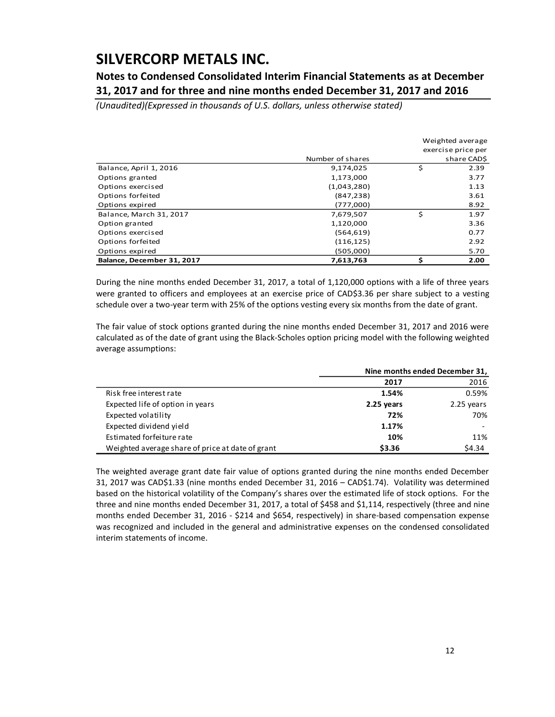**Notes to Condensed Consolidated Interim Financial Statements as at December 31, 2017 and for three and nine months ended December 31, 2017 and 2016**

*(Unaudited)(Expressed in thousands of U.S. dollars, unless otherwise stated)*

|                            |                  | Weighted average |                    |  |  |  |  |  |
|----------------------------|------------------|------------------|--------------------|--|--|--|--|--|
|                            |                  |                  | exercise price per |  |  |  |  |  |
|                            | Number of shares |                  | share CAD\$        |  |  |  |  |  |
| Balance, April 1, 2016     | 9,174,025        | \$               | 2.39               |  |  |  |  |  |
| Options granted            | 1,173,000        |                  | 3.77               |  |  |  |  |  |
| Options exercised          | (1,043,280)      |                  | 1.13               |  |  |  |  |  |
| Options forfeited          | (847, 238)       |                  | 3.61               |  |  |  |  |  |
| Options expired            | (777,000)        |                  | 8.92               |  |  |  |  |  |
| Balance, March 31, 2017    | 7,679,507        | \$               | 1.97               |  |  |  |  |  |
| Option granted             | 1,120,000        |                  | 3.36               |  |  |  |  |  |
| Options exercised          | (564, 619)       |                  | 0.77               |  |  |  |  |  |
| Options forfeited          | (116, 125)       |                  | 2.92               |  |  |  |  |  |
| Options expired            | (505,000)        |                  | 5.70               |  |  |  |  |  |
| Balance, December 31, 2017 | 7,613,763        |                  | 2.00               |  |  |  |  |  |

During the nine months ended December 31, 2017, a total of 1,120,000 options with a life of three years were granted to officers and employees at an exercise price of CAD\$3.36 per share subject to a vesting schedule over a two-year term with 25% of the options vesting every six months from the date of grant.

The fair value of stock options granted during the nine months ended December 31, 2017 and 2016 were calculated as of the date of grant using the Black-Scholes option pricing model with the following weighted average assumptions:

|                                                  | Nine months ended December 31, |            |  |  |
|--------------------------------------------------|--------------------------------|------------|--|--|
|                                                  | 2017                           | 2016       |  |  |
| Risk free interest rate                          | 1.54%                          | 0.59%      |  |  |
| Expected life of option in years                 | 2.25 years                     | 2.25 years |  |  |
| Expected volatility                              | 72%                            | 70%        |  |  |
| Expected dividend yield                          | 1.17%                          |            |  |  |
| Estimated forfeiture rate                        | 10%                            | 11%        |  |  |
| Weighted average share of price at date of grant | \$3.36                         | \$4.34     |  |  |

The weighted average grant date fair value of options granted during the nine months ended December 31, 2017 was CAD\$1.33 (nine months ended December 31, 2016 – CAD\$1.74). Volatility was determined based on the historical volatility of the Company's shares over the estimated life of stock options. For the three and nine months ended December 31, 2017, a total of \$458 and \$1,114, respectively (three and nine months ended December 31, 2016 - \$214 and \$654, respectively) in share-based compensation expense was recognized and included in the general and administrative expenses on the condensed consolidated interim statements of income.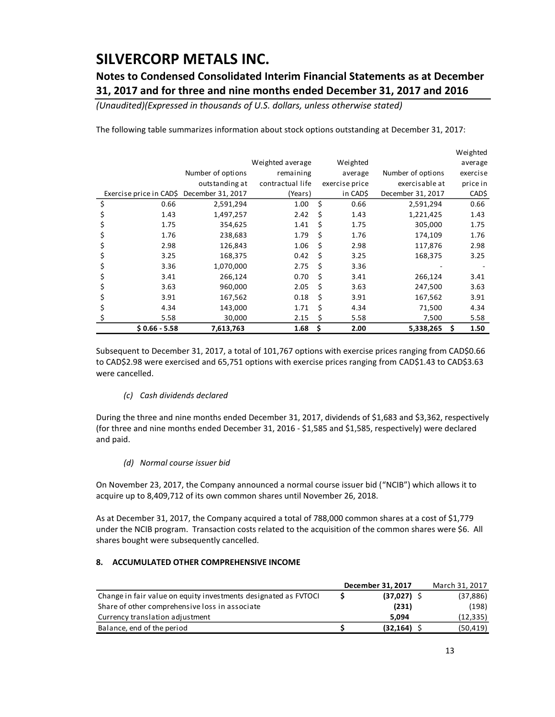## **Notes to Condensed Consolidated Interim Financial Statements as at December 31, 2017 and for three and nine months ended December 31, 2017 and 2016**

*(Unaudited)(Expressed in thousands of U.S. dollars, unless otherwise stated)*

The following table summarizes information about stock options outstanding at December 31, 2017:

|                         |                   |                  |    |                |                   | Weighted   |
|-------------------------|-------------------|------------------|----|----------------|-------------------|------------|
|                         |                   | Weighted average |    | Weighted       |                   | average    |
|                         | Number of options | remaining        |    | average        | Number of options | exercise   |
|                         | outstanding at    | contractual life |    | exercise price | exercisable at    | price in   |
| Exercise price in CAD\$ | December 31, 2017 | (Years)          |    | in CAD\$       | December 31, 2017 | CAD\$      |
| \$<br>0.66              | 2,591,294         | 1.00             | \$ | 0.66           | 2,591,294         | 0.66       |
| 1.43                    | 1,497,257         | 2.42             | Ś  | 1.43           | 1,221,425         | 1.43       |
| 1.75                    | 354,625           | 1.41             | \$ | 1.75           | 305,000           | 1.75       |
| 1.76                    | 238,683           | 1.79             | \$ | 1.76           | 174,109           | 1.76       |
| 2.98                    | 126,843           | 1.06             | \$ | 2.98           | 117,876           | 2.98       |
| 3.25<br>Ş               | 168,375           | 0.42             | \$ | 3.25           | 168,375           | 3.25       |
| 3.36<br>Ş               | 1,070,000         | 2.75             | \$ | 3.36           |                   |            |
| 3.41<br>Ş               | 266,124           | 0.70             | Ś  | 3.41           | 266,124           | 3.41       |
| 3.63                    | 960,000           | 2.05             | Ś  | 3.63           | 247,500           | 3.63       |
| 3.91                    | 167,562           | 0.18             | Ś  | 3.91           | 167,562           | 3.91       |
| 4.34                    | 143,000           | 1.71             | Ś  | 4.34           | 71,500            | 4.34       |
| 5.58                    | 30,000            | 2.15             | Ś  | 5.58           | 7,500             | 5.58       |
| $$0.66 - 5.58$          | 7,613,763         | 1.68             | \$ | 2.00           | 5,338,265         | \$<br>1.50 |

Subsequent to December 31, 2017, a total of 101,767 options with exercise prices ranging from CAD\$0.66 to CAD\$2.98 were exercised and 65,751 options with exercise prices ranging from CAD\$1.43 to CAD\$3.63 were cancelled.

### *(c) Cash dividends declared*

During the three and nine months ended December 31, 2017, dividends of \$1,683 and \$3,362, respectively (for three and nine months ended December 31, 2016 - \$1,585 and \$1,585, respectively) were declared and paid.

*(d) Normal course issuer bid*

On November 23, 2017, the Company announced a normal course issuer bid ("NCIB") which allows it to acquire up to 8,409,712 of its own common shares until November 26, 2018.

As at December 31, 2017, the Company acquired a total of 788,000 common shares at a cost of \$1,779 under the NCIB program. Transaction costs related to the acquisition of the common shares were \$6. All shares bought were subsequently cancelled.

### **8. ACCUMULATED OTHER COMPREHENSIVE INCOME**

|                                                                 | December 31, 2017 | March 31, 2017 |
|-----------------------------------------------------------------|-------------------|----------------|
| Change in fair value on equity investments designated as FVTOCI | $(37,027)$ \$     | (37, 886)      |
| Share of other comprehensive loss in associate                  | (231)             | (198)          |
| Currency translation adjustment                                 | 5.094             | (12, 335)      |
| Balance, end of the period                                      | (32, 164)         | (50, 419)      |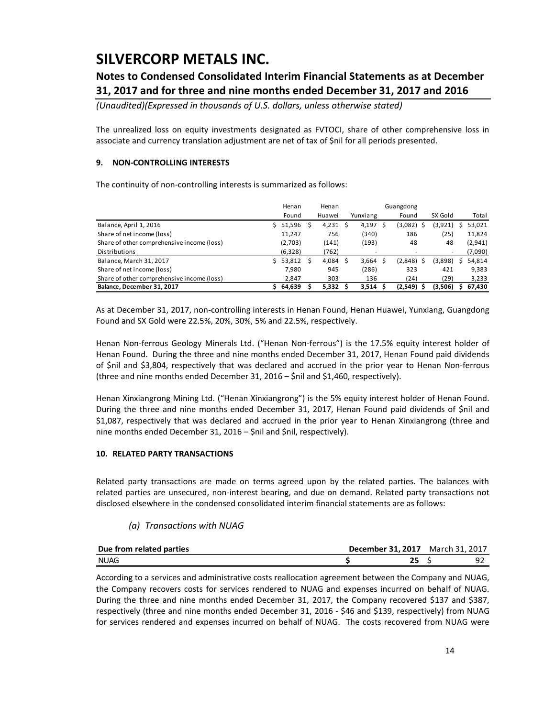## **Notes to Condensed Consolidated Interim Financial Statements as at December 31, 2017 and for three and nine months ended December 31, 2017 and 2016**

*(Unaudited)(Expressed in thousands of U.S. dollars, unless otherwise stated)*

The unrealized loss on equity investments designated as FVTOCI, share of other comprehensive loss in associate and currency translation adjustment are net of tax of \$nil for all periods presented.

### **9. NON-CONTROLLING INTERESTS**

The continuity of non-controlling interests is summarized as follows:

|                                            | Henan    | Henan  | Guangdong |          |     |              |         |   |         |
|--------------------------------------------|----------|--------|-----------|----------|-----|--------------|---------|---|---------|
|                                            | Found    | Huawei |           | Yunxiang |     | Found        | SX Gold |   | Total   |
| Balance, April 1, 2016                     | \$51,596 | 4,231  | S         | 4,197    | - S | (3,082)      | (3,921) | s | 53,021  |
| Share of net income (loss)                 | 11,247   | 756    |           | (340)    |     | 186          | (25)    |   | 11,824  |
| Share of other comprehensive income (loss) | (2,703)  | (141)  |           | (193)    |     | 48           | 48      |   | (2,941) |
| Distributions                              | (6,328)  | (762)  |           | -        |     |              | ٠       |   | (7,090) |
| Balance, March 31, 2017                    | \$53,812 | 4,084  |           | 3,664    |     | $(2,848)$ \$ | (3,898) | s | 54,814  |
| Share of net income (loss)                 | 7.980    | 945    |           | (286)    |     | 323          | 421     |   | 9,383   |
| Share of other comprehensive income (loss) | 2.847    | 303    |           | 136      |     | (24)         | (29)    |   | 3,233   |
| Balance, December 31, 2017                 | 64,639   | 5,332  |           | 3,514    |     | $(2,549)$ \$ | (3,506) | s | 67,430  |

As at December 31, 2017, non-controlling interests in Henan Found, Henan Huawei, Yunxiang, Guangdong Found and SX Gold were 22.5%, 20%, 30%, 5% and 22.5%, respectively.

Henan Non-ferrous Geology Minerals Ltd. ("Henan Non-ferrous") is the 17.5% equity interest holder of Henan Found. During the three and nine months ended December 31, 2017, Henan Found paid dividends of \$nil and \$3,804, respectively that was declared and accrued in the prior year to Henan Non-ferrous (three and nine months ended December 31, 2016 – \$nil and \$1,460, respectively).

Henan Xinxiangrong Mining Ltd. ("Henan Xinxiangrong") is the 5% equity interest holder of Henan Found. During the three and nine months ended December 31, 2017, Henan Found paid dividends of \$nil and \$1,087, respectively that was declared and accrued in the prior year to Henan Xinxiangrong (three and nine months ended December 31, 2016 – \$nil and \$nil, respectively).

### **10. RELATED PARTY TRANSACTIONS**

Related party transactions are made on terms agreed upon by the related parties. The balances with related parties are unsecured, non-interest bearing, and due on demand. Related party transactions not disclosed elsewhere in the condensed consolidated interim financial statements are as follows:

### *(a) Transactions with NUAG*

| Due from related parties | <b>December 31, 2017</b> March 31, 2017 |  |
|--------------------------|-----------------------------------------|--|
| NUAG                     |                                         |  |

According to a services and administrative costs reallocation agreement between the Company and NUAG, the Company recovers costs for services rendered to NUAG and expenses incurred on behalf of NUAG. During the three and nine months ended December 31, 2017, the Company recovered \$137 and \$387, respectively (three and nine months ended December 31, 2016 - \$46 and \$139, respectively) from NUAG for services rendered and expenses incurred on behalf of NUAG. The costs recovered from NUAG were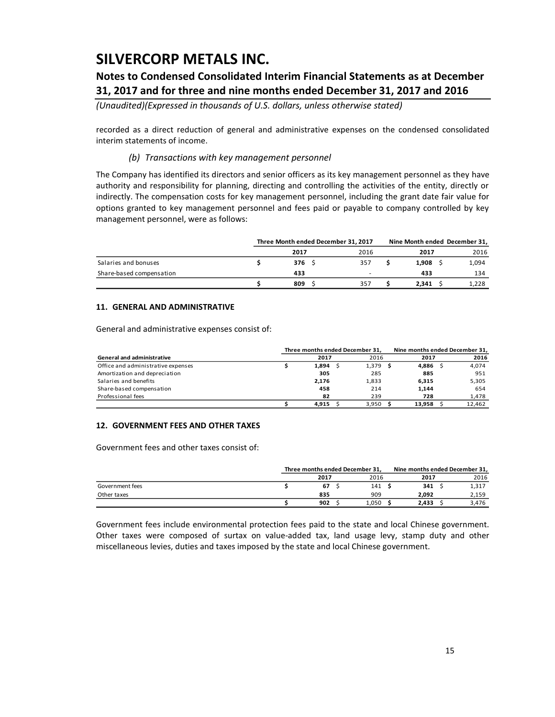## **Notes to Condensed Consolidated Interim Financial Statements as at December 31, 2017 and for three and nine months ended December 31, 2017 and 2016**

*(Unaudited)(Expressed in thousands of U.S. dollars, unless otherwise stated)*

recorded as a direct reduction of general and administrative expenses on the condensed consolidated interim statements of income.

### *(b) Transactions with key management personnel*

The Company has identified its directors and senior officers as its key management personnel as they have authority and responsibility for planning, directing and controlling the activities of the entity, directly or indirectly. The compensation costs for key management personnel, including the grant date fair value for options granted to key management personnel and fees paid or payable to company controlled by key management personnel, were as follows:

|                          | Three Month ended December 31, 2017 |      |  | Nine Month ended December 31, |       |
|--------------------------|-------------------------------------|------|--|-------------------------------|-------|
|                          | 2017                                | 2016 |  | 2017                          | 2016  |
| Salaries and bonuses     | 376                                 | 357  |  | 1.908                         | 1,094 |
| Share-based compensation | 433                                 |      |  | 433                           | 134   |
|                          | 809                                 | 357  |  | 2.341                         | 1.228 |

### **11. GENERAL AND ADMINISTRATIVE**

General and administrative expenses consist of:

|                                    | Three months ended December 31. | Nine months ended December 31, |        |  |        |
|------------------------------------|---------------------------------|--------------------------------|--------|--|--------|
| <b>General and administrative</b>  | 2017                            | 2016                           | 2017   |  | 2016   |
| Office and administrative expenses | 1,894                           | $1,379$ \$                     | 4,886  |  | 4,074  |
| Amortization and depreciation      | 305                             | 285                            | 885    |  | 951    |
| Salaries and benefits              | 2,176                           | 1,833                          | 6,315  |  | 5,305  |
| Share-based compensation           | 458                             | 214                            | 1,144  |  | 654    |
| Professional fees                  | 82                              | 239                            | 728    |  | 1,478  |
|                                    | 4.915                           | 3.950                          | 13,958 |  | 12.462 |

### **12. GOVERNMENT FEES AND OTHER TAXES**

Government fees and other taxes consist of:

|                 | Three months ended December 31, |  |       | Nine months ended December 31, |  |       |
|-----------------|---------------------------------|--|-------|--------------------------------|--|-------|
|                 | 2017                            |  | 2016  | 2017                           |  | 2016  |
| Government fees | 67                              |  | 141   | 341                            |  | 1,317 |
| Other taxes     | 835                             |  | 909   | 2.092                          |  | 2,159 |
|                 | 902                             |  | 1,050 | 2,433                          |  | 3,476 |

Government fees include environmental protection fees paid to the state and local Chinese government. Other taxes were composed of surtax on value-added tax, land usage levy, stamp duty and other miscellaneous levies, duties and taxes imposed by the state and local Chinese government.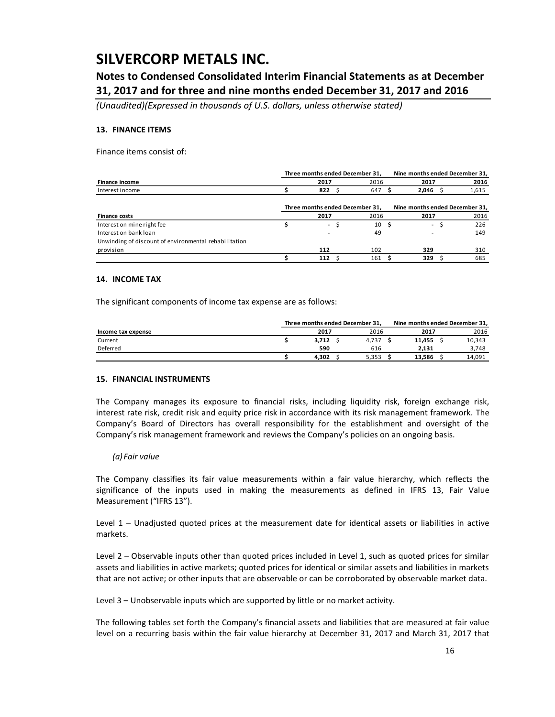**Notes to Condensed Consolidated Interim Financial Statements as at December 31, 2017 and for three and nine months ended December 31, 2017 and 2016**

*(Unaudited)(Expressed in thousands of U.S. dollars, unless otherwise stated)*

### **13. FINANCE ITEMS**

Finance items consist of:

|                                                       |                                                                   | Three months ended December 31, |  |      | Nine months ended December 31, |                          |       |  |
|-------------------------------------------------------|-------------------------------------------------------------------|---------------------------------|--|------|--------------------------------|--------------------------|-------|--|
| <b>Finance income</b>                                 |                                                                   | 2017                            |  | 2016 |                                | 2017                     | 2016  |  |
| Interest income                                       |                                                                   | 822                             |  | 647  |                                | 2,046                    | 1,615 |  |
|                                                       | Three months ended December 31,<br>Nine months ended December 31, |                                 |  |      |                                |                          |       |  |
| <b>Finance costs</b>                                  |                                                                   | 2017                            |  | 2016 |                                | 2017                     | 2016  |  |
| Interest on mine right fee                            |                                                                   | $\sim$                          |  | 10   | -S                             | $\overline{\phantom{a}}$ | 226   |  |
| Interest on bank loan                                 |                                                                   |                                 |  | 49   |                                |                          | 149   |  |
| Unwinding of discount of environmental rehabilitation |                                                                   |                                 |  |      |                                |                          |       |  |
| provision                                             |                                                                   | 112                             |  | 102  |                                | 329                      | 310   |  |
|                                                       |                                                                   | 112                             |  | 161  |                                | 329                      | 685   |  |

#### **14. INCOME TAX**

The significant components of income tax expense are as follows:

|                    | Three months ended December 31. |  |       |  | Nine months ended December 31, |  |        |  |
|--------------------|---------------------------------|--|-------|--|--------------------------------|--|--------|--|
| Income tax expense | 2017                            |  | 2016  |  | 2017                           |  | 2016   |  |
| Current            | 3.712                           |  | 4.737 |  | 11.455                         |  | 10,343 |  |
| Deferred           | 590                             |  | 616   |  | 2.131                          |  | 3,748  |  |
|                    | 4.302                           |  | 5,353 |  | 13.586                         |  | 14.091 |  |

#### **15. FINANCIAL INSTRUMENTS**

The Company manages its exposure to financial risks, including liquidity risk, foreign exchange risk, interest rate risk, credit risk and equity price risk in accordance with its risk management framework. The Company's Board of Directors has overall responsibility for the establishment and oversight of the Company's risk management framework and reviews the Company's policies on an ongoing basis.

#### *(a) Fair value*

The Company classifies its fair value measurements within a fair value hierarchy, which reflects the significance of the inputs used in making the measurements as defined in IFRS 13, Fair Value Measurement ("IFRS 13").

Level 1 – Unadjusted quoted prices at the measurement date for identical assets or liabilities in active markets.

Level 2 – Observable inputs other than quoted prices included in Level 1, such as quoted prices for similar assets and liabilities in active markets; quoted prices for identical or similar assets and liabilities in markets that are not active; or other inputs that are observable or can be corroborated by observable market data.

Level 3 – Unobservable inputs which are supported by little or no market activity.

The following tables set forth the Company's financial assets and liabilities that are measured at fair value level on a recurring basis within the fair value hierarchy at December 31, 2017 and March 31, 2017 that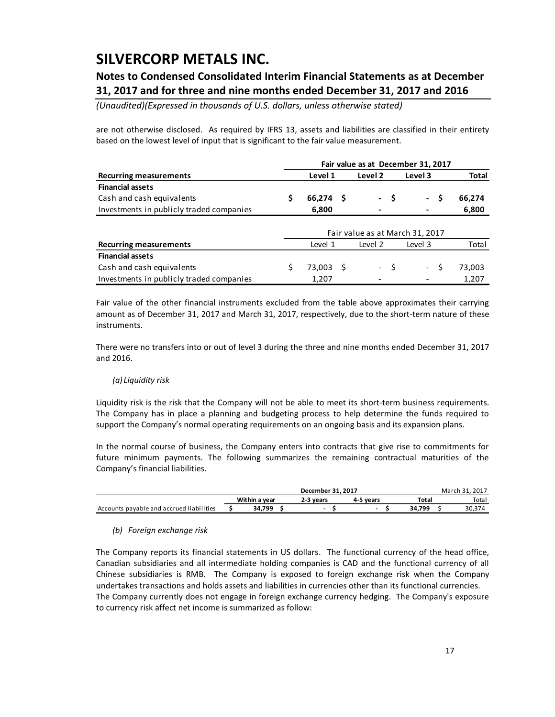## **Notes to Condensed Consolidated Interim Financial Statements as at December 31, 2017 and for three and nine months ended December 31, 2017 and 2016**

*(Unaudited)(Expressed in thousands of U.S. dollars, unless otherwise stated)*

are not otherwise disclosed. As required by IFRS 13, assets and liabilities are classified in their entirety based on the lowest level of input that is significant to the fair value measurement.

|                                          |    | Fair value as at December 31, 2017 |     |                 |         |                       |        |  |
|------------------------------------------|----|------------------------------------|-----|-----------------|---------|-----------------------|--------|--|
| <b>Recurring measurements</b>            |    | Level 1                            |     | Level 2         | Level 3 |                       | Total  |  |
| <b>Financial assets</b>                  |    |                                    |     |                 |         |                       |        |  |
| Cash and cash equivalents                | \$ | 66,274                             | - S | $\sim$ 10 $\pm$ | \$      | \$.<br>$\blacksquare$ | 66,274 |  |
| Investments in publicly traded companies |    | 6,800                              |     |                 |         |                       | 6,800  |  |
|                                          |    | Fair value as at March 31, 2017    |     |                 |         |                       |        |  |
| <b>Recurring measurements</b>            |    | Level 1                            |     | Level 2         |         | Level 3               | Total  |  |
| <b>Financial assets</b>                  |    |                                    |     |                 |         |                       |        |  |
| Cash and cash equivalents                |    | 73.003                             | - S |                 | - \$    | Ŝ<br>$\sim$           | 73,003 |  |
| Investments in publicly traded companies |    | 1,207                              |     |                 |         |                       | 1.207  |  |

Fair value of the other financial instruments excluded from the table above approximates their carrying amount as of December 31, 2017 and March 31, 2017, respectively, due to the short-term nature of these instruments.

There were no transfers into or out of level 3 during the three and nine months ended December 31, 2017 and 2016.

### *(a) Liquidity risk*

Liquidity risk is the risk that the Company will not be able to meet its short-term business requirements. The Company has in place a planning and budgeting process to help determine the funds required to support the Company's normal operating requirements on an ongoing basis and its expansion plans.

In the normal course of business, the Company enters into contracts that give rise to commitments for future minimum payments. The following summarizes the remaining contractual maturities of the Company's financial liabilities.

|                                          |               | December 31, 2017 |           |        | March 31, 2017 |
|------------------------------------------|---------------|-------------------|-----------|--------|----------------|
|                                          | Within a vear | 2-3 vears         | 4-5 vears | Total  | Total          |
| Accounts payable and accrued liabilities | 34.799        |                   |           | 34.799 | 30,374         |

### *(b) Foreign exchange risk*

The Company reports its financial statements in US dollars. The functional currency of the head office, Canadian subsidiaries and all intermediate holding companies is CAD and the functional currency of all Chinese subsidiaries is RMB. The Company is exposed to foreign exchange risk when the Company undertakes transactions and holds assets and liabilities in currencies other than its functional currencies. The Company currently does not engage in foreign exchange currency hedging. The Company's exposure to currency risk affect net income is summarized as follow: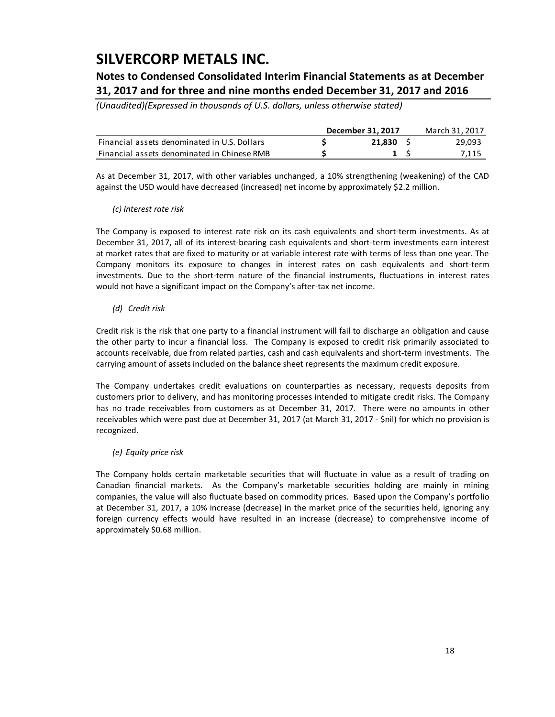## **Notes to Condensed Consolidated Interim Financial Statements as at December 31, 2017 and for three and nine months ended December 31, 2017 and 2016**

*(Unaudited)(Expressed in thousands of U.S. dollars, unless otherwise stated)*

|                                              | December 31, 2017 | March 31, 2017 |
|----------------------------------------------|-------------------|----------------|
| Financial assets denominated in U.S. Dollars | 21.830            | 29,093         |
| Financial assets denominated in Chinese RMB  |                   | 7,115          |

As at December 31, 2017, with other variables unchanged, a 10% strengthening (weakening) of the CAD against the USD would have decreased (increased) net income by approximately \$2.2 million.

### *(c) Interest rate risk*

The Company is exposed to interest rate risk on its cash equivalents and short-term investments. As at December 31, 2017, all of its interest-bearing cash equivalents and short-term investments earn interest at market rates that are fixed to maturity or at variable interest rate with terms of less than one year. The Company monitors its exposure to changes in interest rates on cash equivalents and short-term investments. Due to the short-term nature of the financial instruments, fluctuations in interest rates would not have a significant impact on the Company's after-tax net income.

### *(d) Credit risk*

Credit risk is the risk that one party to a financial instrument will fail to discharge an obligation and cause the other party to incur a financial loss. The Company is exposed to credit risk primarily associated to accounts receivable, due from related parties, cash and cash equivalents and short-term investments. The carrying amount of assets included on the balance sheet represents the maximum credit exposure.

The Company undertakes credit evaluations on counterparties as necessary, requests deposits from customers prior to delivery, and has monitoring processes intended to mitigate credit risks. The Company has no trade receivables from customers as at December 31, 2017. There were no amounts in other receivables which were past due at December 31, 2017 (at March 31, 2017 - \$nil) for which no provision is recognized.

### *(e) Equity price risk*

The Company holds certain marketable securities that will fluctuate in value as a result of trading on Canadian financial markets. As the Company's marketable securities holding are mainly in mining companies, the value will also fluctuate based on commodity prices. Based upon the Company's portfolio at December 31, 2017, a 10% increase (decrease) in the market price of the securities held, ignoring any foreign currency effects would have resulted in an increase (decrease) to comprehensive income of approximately \$0.68 million.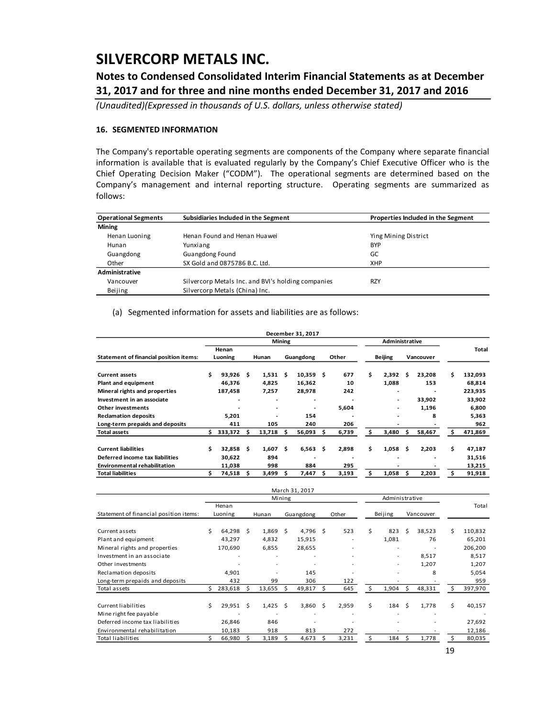## **Notes to Condensed Consolidated Interim Financial Statements as at December 31, 2017 and for three and nine months ended December 31, 2017 and 2016**

*(Unaudited)(Expressed in thousands of U.S. dollars, unless otherwise stated)*

### **16. SEGMENTED INFORMATION**

The Company's reportable operating segments are components of the Company where separate financial information is available that is evaluated regularly by the Company's Chief Executive Officer who is the Chief Operating Decision Maker ("CODM"). The operational segments are determined based on the Company's management and internal reporting structure. Operating segments are summarized as follows:

| <b>Operational Segments</b> | Subsidiaries Included in the Segment               | Properties Included in the Segment |
|-----------------------------|----------------------------------------------------|------------------------------------|
| <b>Mining</b>               |                                                    |                                    |
| Henan Luoning               | Henan Found and Henan Huawei                       | Ying Mining District               |
| Hunan                       | Yunxiang                                           | <b>BYP</b>                         |
| Guangdong                   | <b>Guangdong Found</b>                             | GC                                 |
| Other                       | SX Gold and 0875786 B.C. Ltd.                      | <b>XHP</b>                         |
| Administrative              |                                                    |                                    |
| Vancouver                   | Silvercorp Metals Inc. and BVI's holding companies | <b>RZY</b>                         |
| Beijing                     | Silvercorp Metals (China) Inc.                     |                                    |

#### (a) Segmented information for assets and liabilities are as follows:

|                                               |    |         |   |                |               | December 31, 2017 |     |       |    |                       |     |           |    |         |
|-----------------------------------------------|----|---------|---|----------------|---------------|-------------------|-----|-------|----|-----------------------|-----|-----------|----|---------|
|                                               |    |         |   |                | <b>Mining</b> |                   |     |       |    | <b>Administrative</b> |     |           |    |         |
|                                               |    | Henan   |   |                |               |                   |     |       |    |                       |     |           |    | Total   |
| <b>Statement of financial position items:</b> |    | Luoning |   | Hunan          |               | Guangdong         |     | Other |    | <b>Beijing</b>        |     | Vancouver |    |         |
| <b>Current assets</b>                         | Ś. | 93.926  | s | 1,531          | - S           | 10,359            | \$. | 677   | \$ | 2,392                 | s   | 23,208    | Ś. | 132,093 |
| Plant and equipment                           |    | 46,376  |   | 4,825          |               | 16,362            |     | 10    |    | 1,088                 |     | 153       |    | 68,814  |
| Mineral rights and properties                 |    | 187,458 |   | 7,257          |               | 28,978            |     | 242   |    | ٠                     |     | -         |    | 223,935 |
| Investment in an associate                    |    |         |   | $\overline{a}$ |               |                   |     |       |    | ۰                     |     | 33,902    |    | 33,902  |
| Other investments                             |    |         |   | ٠              |               |                   |     | 5,604 |    | ۰                     |     | 1,196     |    | 6,800   |
| <b>Reclamation deposits</b>                   |    | 5,201   |   | -              |               | 154               |     |       |    | ۰                     |     | 8         |    | 5,363   |
| Long-term prepaids and deposits               |    | 411     |   | 105            |               | 240               |     | 206   |    |                       |     |           |    | 962     |
| <b>Total assets</b>                           | s. | 333,372 | s | 13,718         | - S           | 56,093            | S   | 6,739 | \$ | 3,480                 | \$. | 58,467    | s  | 471,869 |
| <b>Current liabilities</b>                    | Ś. | 32.858  | s | 1,607          | - Ś           | 6,563             | Ŝ   | 2,898 | Ś. | 1.058                 | \$. | 2,203     | Ś. | 47,187  |
| Deferred income tax liabilities               |    | 30,622  |   | 894            |               | -                 |     |       |    | -                     |     | ۰         |    | 31,516  |
| <b>Environmental rehabilitation</b>           |    | 11,038  |   | 998            |               | 884               |     | 295   |    | ٠                     |     |           |    | 13,215  |
| <b>Total liabilities</b>                      |    | 74,518  | s | 3,499          | s             | 7,447             | s   | 3,193 | Ś. | 1,058                 | s   | 2,203     | s. | 91,918  |

|                                        |    |             |    |                          |        | March 31, 2017 |   |                          |    |                          |    |           |     |         |
|----------------------------------------|----|-------------|----|--------------------------|--------|----------------|---|--------------------------|----|--------------------------|----|-----------|-----|---------|
|                                        |    |             |    |                          | Mining |                |   |                          |    | Administrative           |    |           |     |         |
|                                        |    | Henan       |    |                          |        |                |   |                          |    |                          |    |           |     | Total   |
| Statement of financial position items: |    | Luoning     |    | Hunan                    |        | Guangdong      |   | Other                    |    | Beijing                  |    | Vancouver |     |         |
| Current assets                         | Ś  | 64,298 \$   |    | $1,869$ \$               |        | 4,796          | Ŝ | 523                      | Ś. | 823                      | Ś  | 38,523    | Ś   | 110,832 |
| Plant and equipment                    |    | 43,297      |    | 4,832                    |        | 15,915         |   |                          |    | 1,081                    |    | 76        |     | 65,201  |
| Mineral rights and properties          |    | 170,690     |    | 6,855                    |        | 28,655         |   |                          |    |                          |    |           |     | 206,200 |
| Investment in an associate             |    | ٠           |    | $\overline{\phantom{a}}$ |        | ٠              |   | $\overline{\phantom{a}}$ |    | $\overline{\phantom{a}}$ |    | 8,517     |     | 8,517   |
| Other investments                      |    |             |    |                          |        |                |   |                          |    | $\overline{\phantom{a}}$ |    | 1,207     |     | 1,207   |
| Reclamation deposits                   |    | 4,901       |    |                          |        | 145            |   |                          |    |                          |    | 8         |     | 5,054   |
| Long-term prepaids and deposits        |    | 432         |    | 99                       |        | 306            |   | 122                      |    |                          |    |           |     | 959     |
| Total assets                           | Ś. | 283,618     | S  | 13,655                   | S      | 49,817         | Ś | 645                      | \$ | 1,904                    | \$ | 48,331    | s   | 397,970 |
| Current liabilities                    | \$ | $29,951$ \$ |    | 1,425                    | Ŝ      | 3,860          | Ŝ | 2,959                    | \$ | 184                      | Ŝ  | 1,778     | \$. | 40,157  |
| Mine right fee payable                 |    |             |    |                          |        |                |   |                          |    |                          |    |           |     |         |
| Deferred income tax liabilities        |    | 26,846      |    | 846                      |        |                |   |                          |    |                          |    |           |     | 27,692  |
| Environmental rehabilitation           |    | 10,183      |    | 918                      |        | 813            |   | 272                      |    |                          |    |           |     | 12,186  |
| Total liabilities                      |    | 66,980      | -S | 3,189                    | S      | 4,673          | Ś | 3,231                    | Ś  | 184                      | Ŝ  | 1,778     |     | 80,035  |

19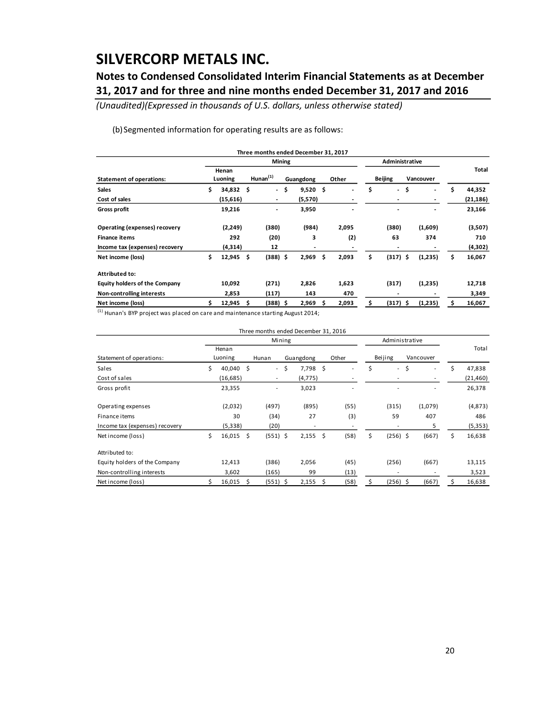## **Notes to Condensed Consolidated Interim Financial Statements as at December 31, 2017 and for three and nine months ended December 31, 2017 and 2016**

*(Unaudited)(Expressed in thousands of U.S. dollars, unless otherwise stated)*

(b)Segmented information for operating results are as follows:

|                                      |                         |    | Three months ended December 31, 2017 |     |           |    |                |                                |    |                          |    |           |
|--------------------------------------|-------------------------|----|--------------------------------------|-----|-----------|----|----------------|--------------------------------|----|--------------------------|----|-----------|
|                                      |                         |    | Mining                               |     |           |    |                | Administrative                 |    |                          |    |           |
| <b>Statement of operations:</b>      | Henan<br>Luoning        |    | Hunan $(1)$                          |     | Guangdong |    | Other          | <b>Beijing</b>                 |    | Vancouver                |    | Total     |
| <b>Sales</b>                         | \$<br>$34,832 \quad$ \$ |    | $\sim$                               | .\$ | 9,520     | \$ | $\overline{a}$ | \$<br>$\overline{\phantom{a}}$ | \$ | $\overline{\phantom{a}}$ | \$ | 44,352    |
| Cost of sales                        | (15, 616)               |    | $\overline{\phantom{a}}$             |     | (5,570)   |    |                | $\overline{\phantom{a}}$       |    | ٠                        |    | (21, 186) |
| <b>Gross profit</b>                  | 19,216                  |    | $\overline{\phantom{a}}$             |     | 3,950     |    |                |                                |    | $\overline{\phantom{0}}$ |    | 23,166    |
| Operating (expenses) recovery        | (2, 249)                |    | (380)                                |     | (984)     |    | 2,095          | (380)                          |    | (1,609)                  |    | (3,507)   |
| <b>Finance items</b>                 | 292                     |    | (20)                                 |     | 3         |    | (2)            | 63                             |    | 374                      |    | 710       |
| Income tax (expenses) recovery       | (4,314)                 |    | 12                                   |     |           |    |                |                                |    | $\overline{\phantom{a}}$ |    | (4,302)   |
| Net income (loss)                    | \$<br>12,945            | Ŝ. | $(388)$ \$                           |     | 2,969     | Ś. | 2,093          | \$<br>$(317)$ \$               |    | (1,235)                  | \$ | 16,067    |
| <b>Attributed to:</b>                |                         |    |                                      |     |           |    |                |                                |    |                          |    |           |
| <b>Equity holders of the Company</b> | 10,092                  |    | (271)                                |     | 2,826     |    | 1,623          | (317)                          |    | (1,235)                  |    | 12,718    |
| Non-controlling interests            | 2,853                   |    | (117)                                |     | 143       |    | 470            | $\,$                           |    |                          |    | 3,349     |
| Net income (loss)                    | 12,945                  | S  | (388) \$                             |     | 2,969     | s  | 2,093          | \$<br>$(317)$ \$               |    | (1,235)                  | s  | 16,067    |

 $<sup>(1)</sup>$  Hunan's BYP project was placed on care and maintenance starting August 2014;</sup>

|                                |    |           |    | Three months ended December 31, 2016 |     |           |    |       |                                |                                |              |
|--------------------------------|----|-----------|----|--------------------------------------|-----|-----------|----|-------|--------------------------------|--------------------------------|--------------|
|                                |    |           |    | Mining                               |     |           |    |       | Administrative                 |                                |              |
|                                |    | Henan     |    |                                      |     |           |    |       |                                |                                | Total        |
| Statement of operations:       |    | Luoning   |    | Hunan                                |     | Guangdong |    | Other | Beijing                        | Vancouver                      |              |
| Sales                          | Ś  | 40,040 \$ |    | $\sim$                               | -\$ | 7,798     | \$ | ٠     | \$<br>$\overline{\phantom{a}}$ | \$<br>$\overline{\phantom{a}}$ | \$<br>47,838 |
| Cost of sales                  |    | (16, 685) |    | $\overline{\phantom{a}}$             |     | (4, 775)  |    |       |                                |                                | (21, 460)    |
| Gross profit                   |    | 23,355    |    | $\overline{\phantom{a}}$             |     | 3,023     |    |       |                                |                                | 26,378       |
| Operating expenses             |    | (2,032)   |    | (497)                                |     | (895)     |    | (55)  | (315)                          | (1,079)                        | (4,873)      |
| Finance items                  |    | 30        |    | (34)                                 |     | 27        |    | (3)   | 59                             | 407                            | 486          |
| Income tax (expenses) recovery |    | (5, 338)  |    | (20)                                 |     | ٠         |    |       |                                | 5                              | (5, 353)     |
| Net income (loss)              | Ś. | 16,015    | Ŝ. | $(551)$ \$                           |     | 2,155     | \$ | (58)  | \$<br>$(256)$ \$               | (667)                          | \$<br>16,638 |
| Attributed to:                 |    |           |    |                                      |     |           |    |       |                                |                                |              |
| Equity holders of the Company  |    | 12,413    |    | (386)                                |     | 2,056     |    | (45)  | (256)                          | (667)                          | 13,115       |
| Non-controlling interests      |    | 3,602     |    | (165)                                |     | 99        |    | (13)  | $\overline{a}$                 |                                | 3,523        |
| Net income (loss)              |    | 16,015    | \$ | $(551)$ \$                           |     | 2,155     | S  | (58)  | \$<br>(256) \$                 | (667)                          | 16,638       |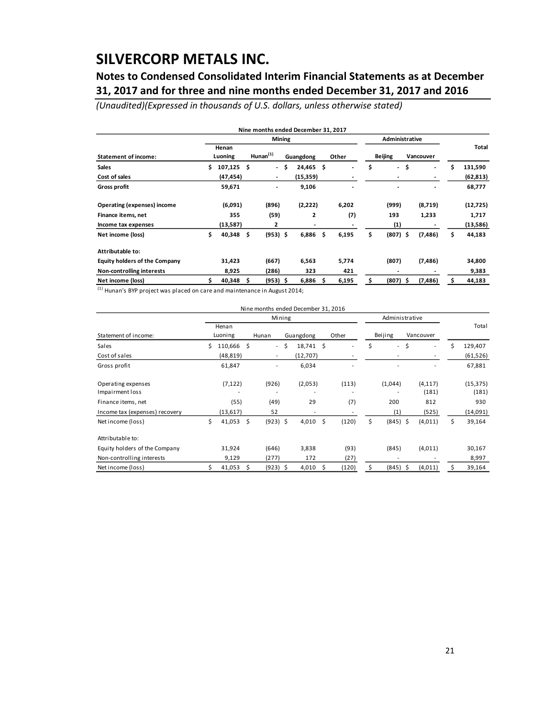## **Notes to Condensed Consolidated Interim Financial Statements as at December 31, 2017 and for three and nine months ended December 31, 2017 and 2016**

*(Unaudited)(Expressed in thousands of U.S. dollars, unless otherwise stated)*

|                                      |    |                  |    |                          |    | Nine months ended December 31, 2017 |     |                          |                                |                                    |    |           |
|--------------------------------------|----|------------------|----|--------------------------|----|-------------------------------------|-----|--------------------------|--------------------------------|------------------------------------|----|-----------|
|                                      |    |                  |    | Mining                   |    |                                     |     |                          | Administrative                 |                                    |    |           |
| <b>Statement of income:</b>          |    | Henan<br>Luoning |    | Hunan $(1)$              |    | Guangdong                           |     | Other                    | <b>Beijing</b>                 | Vancouver                          |    | Total     |
| <b>Sales</b>                         |    | 107,125          | Ŝ  | $\blacksquare$           | Ŝ. | 24,465                              | \$. | $\overline{\phantom{0}}$ | \$<br>$\overline{\phantom{a}}$ | \$<br>$\qquad \qquad \blacksquare$ | Ś  | 131,590   |
| Cost of sales                        |    | (47,454)         |    | $\overline{\phantom{a}}$ |    | (15, 359)                           |     |                          | $\overline{\phantom{0}}$       | $\overline{\phantom{a}}$           |    | (62, 813) |
| Gross profit                         |    | 59,671           |    | $\overline{\phantom{0}}$ |    | 9,106                               |     |                          | -                              | ٠                                  |    | 68,777    |
| Operating (expenses) income          |    | (6,091)          |    | (896)                    |    | (2,222)                             |     | 6,202                    | (999)                          | (8,719)                            |    | (12, 725) |
| Finance items, net                   |    | 355              |    | (59)                     |    | 2                                   |     | (7)                      | 193                            | 1,233                              |    | 1,717     |
| Income tax expenses                  |    | (13,587)         |    | 2                        |    |                                     |     |                          | (1)                            |                                    |    | (13,586)  |
| Net income (loss)                    | Ś. | 40,348           | \$ | $(953)$ \$               |    | 6,886                               | Ś.  | 6,195                    | \$<br>(807) \$                 | (7, 486)                           | \$ | 44,183    |
| Attributable to:                     |    |                  |    |                          |    |                                     |     |                          |                                |                                    |    |           |
| <b>Equity holders of the Company</b> |    | 31,423           |    | (667)                    |    | 6,563                               |     | 5,774                    | (807)                          | (7, 486)                           |    | 34,800    |
| Non-controlling interests            |    | 8,925            |    | (286)                    |    | 323                                 |     | 421                      | -                              |                                    |    | 9,383     |
| Net income (loss)                    |    | 40,348           | \$ | $(953)$ \$               |    | 6,886                               | s   | 6,195                    | \$<br>(807) \$                 | (7, 486)                           | S  | 44,183    |

 $<sup>(1)</sup>$  Hunan's BYP project was placed on care and maintenance in August 2014;</sup>

|                                       |    |                  |    | Nine months ended December 31, 2016 |      |           |             |                  |    |                          |    |                    |
|---------------------------------------|----|------------------|----|-------------------------------------|------|-----------|-------------|------------------|----|--------------------------|----|--------------------|
|                                       |    |                  |    | Mining                              |      |           |             | Administrative   |    |                          |    |                    |
| Statement of income:                  |    | Henan<br>Luoning |    | Hunan                               |      | Guangdong | Other       | Beijing          |    | Vancouver                |    | Total              |
| Sales                                 | Ś. | 110,666 \$       |    |                                     | $-5$ | 18,741 \$ |             | \$<br>$\sim$     | \$ | ٠                        | Ś  | 129,407            |
| Cost of sales                         |    | (48, 819)        |    | $\overline{\phantom{a}}$            |      | (12,707)  | ٠           | ٠                |    | $\overline{\phantom{a}}$ |    | (61, 526)          |
| Gross profit                          |    | 61,847           |    | ٠                                   |      | 6,034     |             |                  |    |                          |    | 67,881             |
| Operating expenses<br>Impairment loss |    | (7, 122)         |    | (926)                               |      | (2,053)   | (113)       | (1,044)          |    | (4, 117)<br>(181)        |    | (15, 375)<br>(181) |
| Finance items, net                    |    | (55)             |    | (49)                                |      | 29        | (7)         | 200              |    | 812                      |    | 930                |
| Income tax (expenses) recovery        |    | (13, 617)        |    | 52                                  |      | ٠         |             | (1)              |    | (525)                    |    | (14,091)           |
| Net income (loss)                     | Ś. | 41,053           | \$ | $(923)$ \$                          |      | 4,010     | \$<br>(120) | \$<br>$(845)$ \$ |    | (4,011)                  | \$ | 39,164             |
| Attributable to:                      |    |                  |    |                                     |      |           |             |                  |    |                          |    |                    |
| Equity holders of the Company         |    | 31,924           |    | (646)                               |      | 3,838     | (93)        | (845)            |    | (4,011)                  |    | 30,167             |
| Non-controlling interests             |    | 9,129            |    | (277)                               |      | 172       | (27)        |                  |    |                          |    | 8,997              |
| Net income (loss)                     |    | 41,053           | S. | $(923)$ \$                          |      | 4,010     | \$<br>(120) | \$<br>(845)      | \$ | (4, 011)                 | Ś  | 39,164             |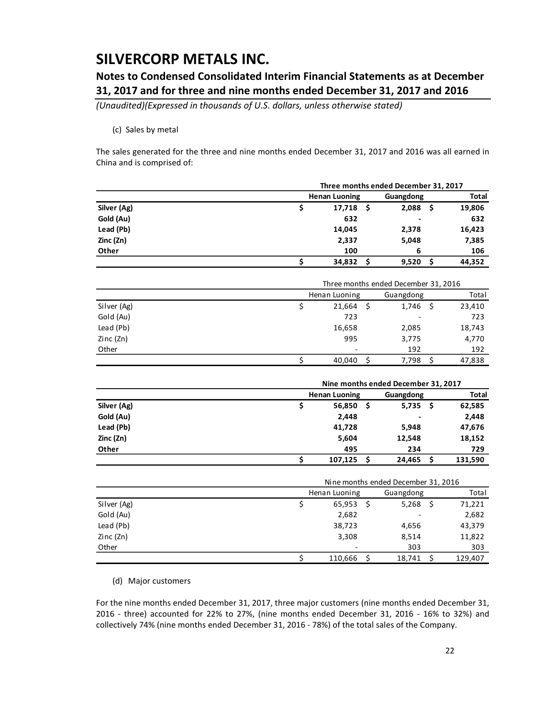## **Notes to Condensed Consolidated Interim Financial Statements as at December 31, 2017 and for three and nine months ended December 31, 2017 and 2016**

*(Unaudited)(Expressed in thousands of U.S. dollars, unless otherwise stated)*

### (c) Sales by metal

The sales generated for the three and nine months ended December 31, 2017 and 2016 was all earned in China and is comprised of:

|             | Three months ended December 31, 2017 |    |                                      |    |              |  |  |  |  |  |
|-------------|--------------------------------------|----|--------------------------------------|----|--------------|--|--|--|--|--|
|             | <b>Henan Luoning</b>                 |    | Guangdong                            |    | <b>Total</b> |  |  |  |  |  |
| Silver (Ag) | \$<br>17,718                         | \$ | 2,088                                | \$ | 19,806       |  |  |  |  |  |
| Gold (Au)   | 632                                  |    |                                      |    | 632          |  |  |  |  |  |
| Lead (Pb)   | 14,045                               |    | 2,378                                |    | 16,423       |  |  |  |  |  |
| Zinc (Zn)   | 2,337                                |    | 5,048                                |    | 7,385        |  |  |  |  |  |
| Other       | 100                                  |    | 6                                    |    | 106          |  |  |  |  |  |
|             | \$<br>34,832                         | \$ | 9,520                                | \$ | 44,352       |  |  |  |  |  |
|             |                                      |    |                                      |    |              |  |  |  |  |  |
|             |                                      |    | Three months ended December 31, 2016 |    |              |  |  |  |  |  |
|             | Henan Luoning                        |    | Guangdong                            |    | Total        |  |  |  |  |  |
| Silver (Ag) | \$<br>21,664                         | \$ | 1,746                                | \$ | 23,410       |  |  |  |  |  |
| Gold (Au)   | 723                                  |    |                                      |    | 723          |  |  |  |  |  |
| Lead (Pb)   | 16,658                               |    | 2,085                                |    | 18,743       |  |  |  |  |  |
| Zinc (Zn)   | 995                                  |    | 3,775                                |    | 4,770        |  |  |  |  |  |
| Other       |                                      |    | 192                                  |    | 192          |  |  |  |  |  |
|             | \$<br>40,040                         | Ś  | 7,798                                | \$ | 47,838       |  |  |  |  |  |
|             |                                      |    |                                      |    |              |  |  |  |  |  |
|             |                                      |    | Nine months ended December 31, 2017  |    |              |  |  |  |  |  |
|             | <b>Henan Luoning</b>                 |    | Guangdong                            |    | <b>Total</b> |  |  |  |  |  |
| Silver (Ag) | \$<br>56,850                         | \$ | 5,735                                | \$ | 62,585       |  |  |  |  |  |
| Gold (Au)   | 2,448                                |    |                                      |    | 2,448        |  |  |  |  |  |
| Lead (Pb)   | 41,728                               |    | 5,948                                |    | 47,676       |  |  |  |  |  |
| Zinc (Zn)   | 5,604                                |    | 12,548                               |    | 18,152       |  |  |  |  |  |
| Other       | 495                                  |    | 234                                  |    | 729          |  |  |  |  |  |
|             | \$<br>107,125                        | \$ | 24,465                               | \$ | 131,590      |  |  |  |  |  |
|             |                                      |    |                                      |    |              |  |  |  |  |  |
|             |                                      |    | Nine months ended December 31, 2016  |    |              |  |  |  |  |  |
|             | Henan Luoning                        |    | Guangdong                            |    | Total        |  |  |  |  |  |
| Silver (Ag) | \$<br>65,953                         | \$ | 5,268                                | \$ | 71,221       |  |  |  |  |  |
| Gold (Au)   | 2,682                                |    |                                      |    | 2,682        |  |  |  |  |  |
| Lead (Pb)   | 38,723                               |    | 4,656                                |    | 43,379       |  |  |  |  |  |
| Zinc (Zn)   | 3,308                                |    | 8,514                                |    | 11,822       |  |  |  |  |  |
| Other       |                                      |    | 303                                  |    | 303          |  |  |  |  |  |
|             | \$<br>110,666                        | \$ | 18,741                               | \$ | 129,407      |  |  |  |  |  |

(d) Major customers

For the nine months ended December 31, 2017, three major customers (nine months ended December 31, 2016 - three) accounted for 22% to 27%, (nine months ended December 31, 2016 - 16% to 32%) and collectively 74% (nine months ended December 31, 2016 - 78%) of the total sales of the Company.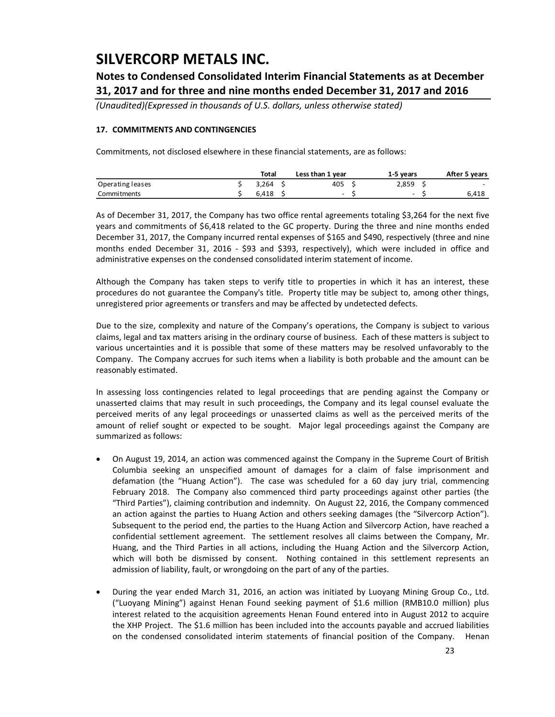## **Notes to Condensed Consolidated Interim Financial Statements as at December 31, 2017 and for three and nine months ended December 31, 2017 and 2016**

*(Unaudited)(Expressed in thousands of U.S. dollars, unless otherwise stated)*

### **17. COMMITMENTS AND CONTINGENCIES**

Commitments, not disclosed elsewhere in these financial statements, are as follows:

|                  | Total | Less than 1 year | 1-5 years | After 5 years |
|------------------|-------|------------------|-----------|---------------|
| Operating leases | 3.264 | 405              | 2.859     | $\sim$        |
| Commitments      | 6.418 | -                | -         | 6.418         |

As of December 31, 2017, the Company has two office rental agreements totaling \$3,264 for the next five years and commitments of \$6,418 related to the GC property. During the three and nine months ended December 31, 2017, the Company incurred rental expenses of \$165 and \$490, respectively (three and nine months ended December 31, 2016 - \$93 and \$393, respectively), which were included in office and administrative expenses on the condensed consolidated interim statement of income.

Although the Company has taken steps to verify title to properties in which it has an interest, these procedures do not guarantee the Company's title. Property title may be subject to, among other things, unregistered prior agreements or transfers and may be affected by undetected defects.

Due to the size, complexity and nature of the Company's operations, the Company is subject to various claims, legal and tax matters arising in the ordinary course of business. Each of these matters is subject to various uncertainties and it is possible that some of these matters may be resolved unfavorably to the Company. The Company accrues for such items when a liability is both probable and the amount can be reasonably estimated.

In assessing loss contingencies related to legal proceedings that are pending against the Company or unasserted claims that may result in such proceedings, the Company and its legal counsel evaluate the perceived merits of any legal proceedings or unasserted claims as well as the perceived merits of the amount of relief sought or expected to be sought. Major legal proceedings against the Company are summarized as follows:

- On August 19, 2014, an action was commenced against the Company in the Supreme Court of British Columbia seeking an unspecified amount of damages for a claim of false imprisonment and defamation (the "Huang Action"). The case was scheduled for a 60 day jury trial, commencing February 2018. The Company also commenced third party proceedings against other parties (the "Third Parties"), claiming contribution and indemnity. On August 22, 2016, the Company commenced an action against the parties to Huang Action and others seeking damages (the "Silvercorp Action"). Subsequent to the period end, the parties to the Huang Action and Silvercorp Action, have reached a confidential settlement agreement. The settlement resolves all claims between the Company, Mr. Huang, and the Third Parties in all actions, including the Huang Action and the Silvercorp Action, which will both be dismissed by consent. Nothing contained in this settlement represents an admission of liability, fault, or wrongdoing on the part of any of the parties.
- During the year ended March 31, 2016, an action was initiated by Luoyang Mining Group Co., Ltd. ("Luoyang Mining") against Henan Found seeking payment of \$1.6 million (RMB10.0 million) plus interest related to the acquisition agreements Henan Found entered into in August 2012 to acquire the XHP Project. The \$1.6 million has been included into the accounts payable and accrued liabilities on the condensed consolidated interim statements of financial position of the Company. Henan